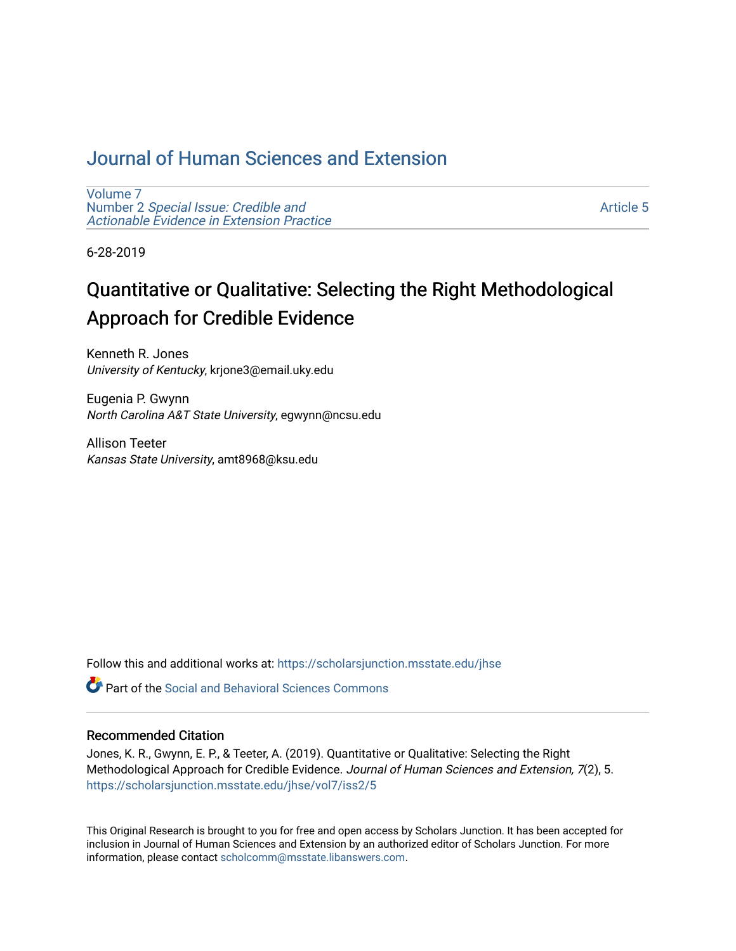## [Journal of Human Sciences and Extension](https://scholarsjunction.msstate.edu/jhse)

[Volume 7](https://scholarsjunction.msstate.edu/jhse/vol7) Number 2 [Special Issue: Credible and](https://scholarsjunction.msstate.edu/jhse/vol7/iss2)  [Actionable Evidence in Extension Practice](https://scholarsjunction.msstate.edu/jhse/vol7/iss2) 

[Article 5](https://scholarsjunction.msstate.edu/jhse/vol7/iss2/5) 

6-28-2019

# Quantitative or Qualitative: Selecting the Right Methodological Approach for Credible Evidence

Kenneth R. Jones University of Kentucky, krjone3@email.uky.edu

Eugenia P. Gwynn North Carolina A&T State University, egwynn@ncsu.edu

Allison Teeter Kansas State University, amt8968@ksu.edu

Follow this and additional works at: [https://scholarsjunction.msstate.edu/jhse](https://scholarsjunction.msstate.edu/jhse?utm_source=scholarsjunction.msstate.edu%2Fjhse%2Fvol7%2Fiss2%2F5&utm_medium=PDF&utm_campaign=PDFCoverPages)

**C** Part of the Social and Behavioral Sciences Commons

#### Recommended Citation

Jones, K. R., Gwynn, E. P., & Teeter, A. (2019). Quantitative or Qualitative: Selecting the Right Methodological Approach for Credible Evidence. Journal of Human Sciences and Extension, 7(2), 5. [https://scholarsjunction.msstate.edu/jhse/vol7/iss2/5](https://scholarsjunction.msstate.edu/jhse/vol7/iss2/5?utm_source=scholarsjunction.msstate.edu%2Fjhse%2Fvol7%2Fiss2%2F5&utm_medium=PDF&utm_campaign=PDFCoverPages)

This Original Research is brought to you for free and open access by Scholars Junction. It has been accepted for inclusion in Journal of Human Sciences and Extension by an authorized editor of Scholars Junction. For more information, please contact [scholcomm@msstate.libanswers.com](mailto:scholcomm@msstate.libanswers.com).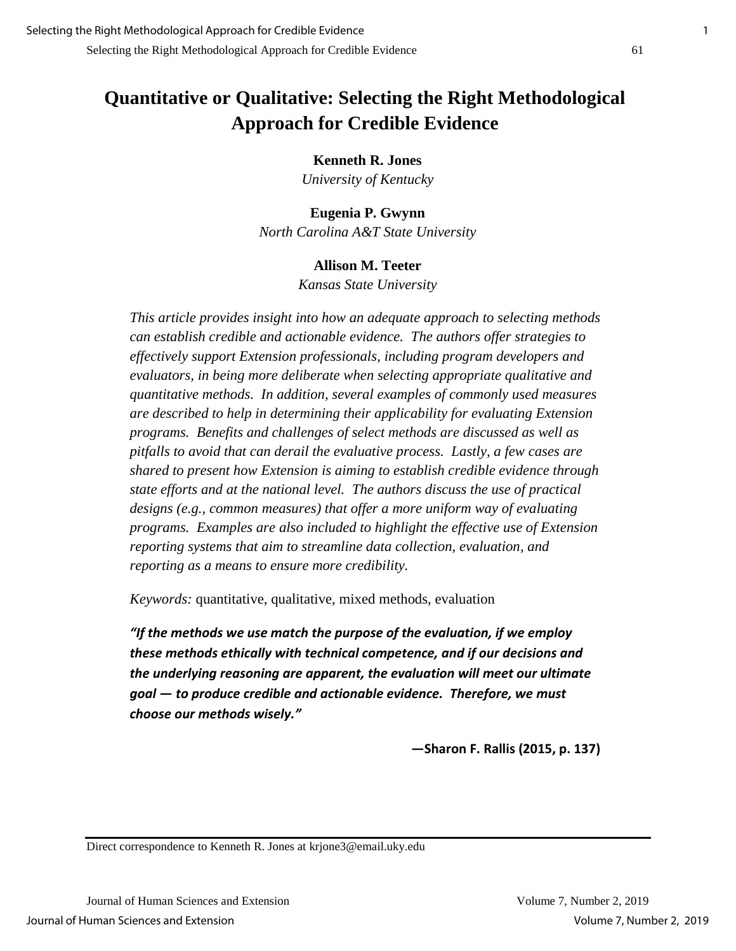## **Quantitative or Qualitative: Selecting the Right Methodological Approach for Credible Evidence**

#### **Kenneth R. Jones**

*University of Kentucky*

#### **Eugenia P. Gwynn**

*North Carolina A&T State University*

#### **Allison M. Teeter**

*Kansas State University*

*This article provides insight into how an adequate approach to selecting methods can establish credible and actionable evidence. The authors offer strategies to effectively support Extension professionals, including program developers and evaluators, in being more deliberate when selecting appropriate qualitative and quantitative methods. In addition, several examples of commonly used measures are described to help in determining their applicability for evaluating Extension programs. Benefits and challenges of select methods are discussed as well as pitfalls to avoid that can derail the evaluative process. Lastly, a few cases are shared to present how Extension is aiming to establish credible evidence through state efforts and at the national level. The authors discuss the use of practical designs (e.g., common measures) that offer a more uniform way of evaluating programs. Examples are also included to highlight the effective use of Extension reporting systems that aim to streamline data collection, evaluation, and reporting as a means to ensure more credibility.*

*Keywords:* quantitative, qualitative, mixed methods, evaluation

*"If the methods we use match the purpose of the evaluation, if we employ these methods ethically with technical competence, and if our decisions and the underlying reasoning are apparent, the evaluation will meet our ultimate goal* **—** *to produce credible and actionable evidence. Therefore, we must choose our methods wisely."*

**—Sharon F. Rallis (2015, p. 137)**

Direct correspondence to Kenneth R. Jones at krjone3@email.uky.edu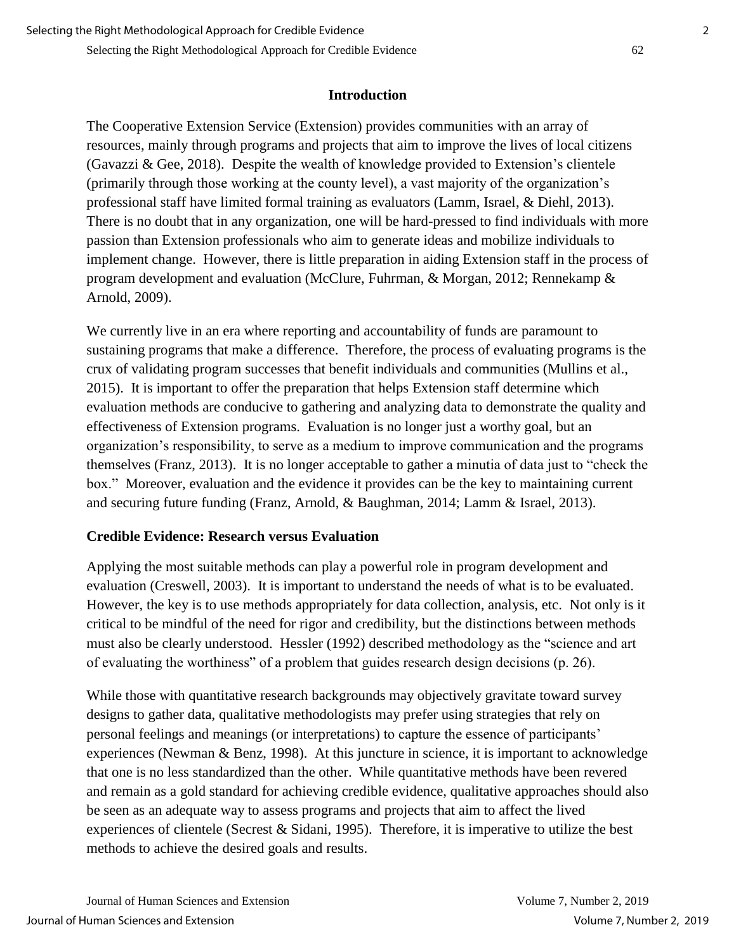Selecting the Right Methodological Approach for Credible Evidence 62

#### **Introduction**

The Cooperative Extension Service (Extension) provides communities with an array of resources, mainly through programs and projects that aim to improve the lives of local citizens (Gavazzi & Gee, 2018). Despite the wealth of knowledge provided to Extension's clientele (primarily through those working at the county level), a vast majority of the organization's professional staff have limited formal training as evaluators (Lamm, Israel, & Diehl, 2013). There is no doubt that in any organization, one will be hard-pressed to find individuals with more passion than Extension professionals who aim to generate ideas and mobilize individuals to implement change. However, there is little preparation in aiding Extension staff in the process of program development and evaluation (McClure, Fuhrman, & Morgan, 2012; Rennekamp & Arnold, 2009).

We currently live in an era where reporting and accountability of funds are paramount to sustaining programs that make a difference. Therefore, the process of evaluating programs is the crux of validating program successes that benefit individuals and communities (Mullins et al., 2015). It is important to offer the preparation that helps Extension staff determine which evaluation methods are conducive to gathering and analyzing data to demonstrate the quality and effectiveness of Extension programs. Evaluation is no longer just a worthy goal, but an organization's responsibility, to serve as a medium to improve communication and the programs themselves (Franz, 2013). It is no longer acceptable to gather a minutia of data just to "check the box." Moreover, evaluation and the evidence it provides can be the key to maintaining current and securing future funding (Franz, Arnold, & Baughman, 2014; Lamm & Israel, 2013).

#### **Credible Evidence: Research versus Evaluation**

Applying the most suitable methods can play a powerful role in program development and evaluation (Creswell, 2003). It is important to understand the needs of what is to be evaluated. However, the key is to use methods appropriately for data collection, analysis, etc. Not only is it critical to be mindful of the need for rigor and credibility, but the distinctions between methods must also be clearly understood. Hessler (1992) described methodology as the "science and art of evaluating the worthiness" of a problem that guides research design decisions (p. 26).

While those with quantitative research backgrounds may objectively gravitate toward survey designs to gather data, qualitative methodologists may prefer using strategies that rely on personal feelings and meanings (or interpretations) to capture the essence of participants' experiences (Newman & Benz, 1998). At this juncture in science, it is important to acknowledge that one is no less standardized than the other. While quantitative methods have been revered and remain as a gold standard for achieving credible evidence, qualitative approaches should also be seen as an adequate way to assess programs and projects that aim to affect the lived experiences of clientele (Secrest & Sidani, 1995). Therefore, it is imperative to utilize the best methods to achieve the desired goals and results.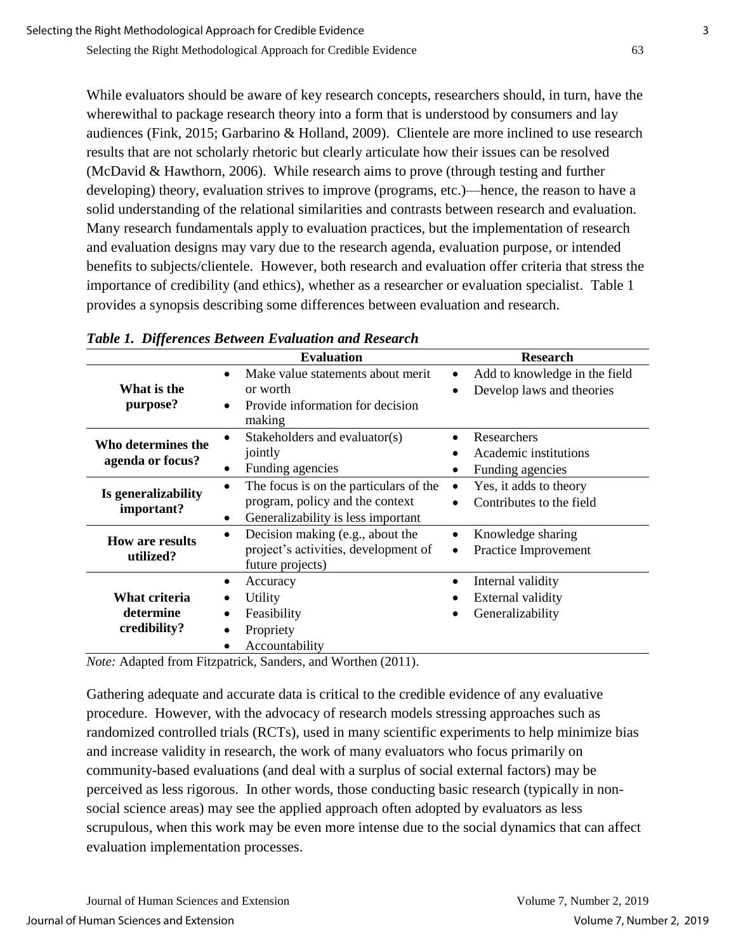While evaluators should be aware of key research concepts, researchers should, in turn, have the wherewithal to package research theory into a form that is understood by consumers and lay audiences (Fink, 2015; Garbarino & Holland, 2009). Clientele are more inclined to use research results that are not scholarly rhetoric but clearly articulate how their issues can be resolved (McDavid & Hawthorn, 2006). While research aims to prove (through testing and further developing) theory, evaluation strives to improve (programs, etc.)—hence, the reason to have a solid understanding of the relational similarities and contrasts between research and evaluation. Many research fundamentals apply to evaluation practices, but the implementation of research and evaluation designs may vary due to the research agenda, evaluation purpose, or intended benefits to subjects/clientele. However, both research and evaluation offer criteria that stress the importance of credibility (and ethics), whether as a researcher or evaluation specialist. Table 1 provides a synopsis describing some differences between evaluation and research.

|                                            | <b>Evaluation</b>                                                                                                    | <b>Research</b>                                                              |
|--------------------------------------------|----------------------------------------------------------------------------------------------------------------------|------------------------------------------------------------------------------|
| What is the<br>purpose?                    | Make value statements about merit<br>or worth<br>Provide information for decision<br>making                          | Add to knowledge in the field<br>Develop laws and theories                   |
| Who determines the<br>agenda or focus?     | Stakeholders and evaluator(s)<br>jointly<br>Funding agencies<br>٠                                                    | Researchers<br>$\bullet$<br>Academic institutions<br>Funding agencies        |
| Is generalizability<br>important?          | The focus is on the particulars of the<br>program, policy and the context<br>Generalizability is less important<br>٠ | Yes, it adds to theory<br>$\bullet$<br>Contributes to the field<br>$\bullet$ |
| <b>How are results</b><br>utilized?        | Decision making (e.g., about the<br>project's activities, development of<br>future projects)                         | Knowledge sharing<br>Practice Improvement<br>$\bullet$                       |
| What criteria<br>determine<br>credibility? | Accuracy<br>Utility<br>Feasibility<br>Propriety<br>Accountability                                                    | Internal validity<br>External validity<br>Generalizability                   |

*Table 1. Differences Between Evaluation and Research*

*Note:* Adapted from Fitzpatrick, Sanders, and Worthen (2011).

Gathering adequate and accurate data is critical to the credible evidence of any evaluative procedure. However, with the advocacy of research models stressing approaches such as randomized controlled trials (RCTs), used in many scientific experiments to help minimize bias and increase validity in research, the work of many evaluators who focus primarily on community-based evaluations (and deal with a surplus of social external factors) may be perceived as less rigorous. In other words, those conducting basic research (typically in nonsocial science areas) may see the applied approach often adopted by evaluators as less scrupulous, when this work may be even more intense due to the social dynamics that can affect evaluation implementation processes.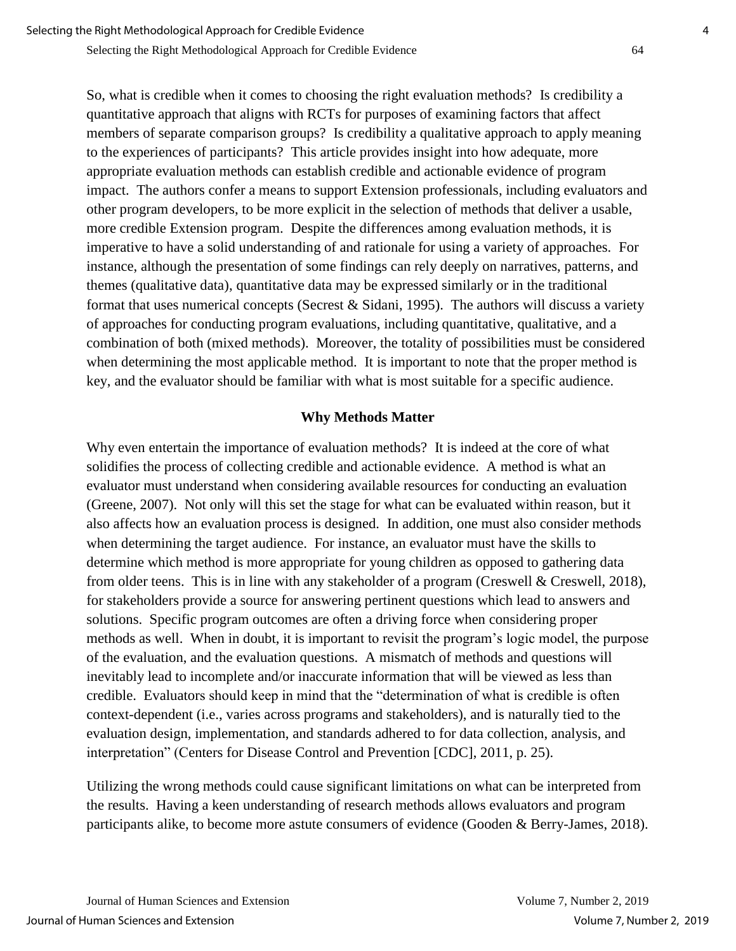Selecting the Right Methodological Approach for Credible Evidence 64

So, what is credible when it comes to choosing the right evaluation methods? Is credibility a quantitative approach that aligns with RCTs for purposes of examining factors that affect members of separate comparison groups? Is credibility a qualitative approach to apply meaning to the experiences of participants? This article provides insight into how adequate, more appropriate evaluation methods can establish credible and actionable evidence of program impact. The authors confer a means to support Extension professionals, including evaluators and other program developers, to be more explicit in the selection of methods that deliver a usable, more credible Extension program. Despite the differences among evaluation methods, it is imperative to have a solid understanding of and rationale for using a variety of approaches. For instance, although the presentation of some findings can rely deeply on narratives, patterns, and themes (qualitative data), quantitative data may be expressed similarly or in the traditional format that uses numerical concepts (Secrest & Sidani, 1995). The authors will discuss a variety of approaches for conducting program evaluations, including quantitative, qualitative, and a combination of both (mixed methods). Moreover, the totality of possibilities must be considered when determining the most applicable method. It is important to note that the proper method is key, and the evaluator should be familiar with what is most suitable for a specific audience.

## **Why Methods Matter**

Why even entertain the importance of evaluation methods? It is indeed at the core of what solidifies the process of collecting credible and actionable evidence. A method is what an evaluator must understand when considering available resources for conducting an evaluation (Greene, 2007). Not only will this set the stage for what can be evaluated within reason, but it also affects how an evaluation process is designed. In addition, one must also consider methods when determining the target audience. For instance, an evaluator must have the skills to determine which method is more appropriate for young children as opposed to gathering data from older teens. This is in line with any stakeholder of a program (Creswell & Creswell, 2018), for stakeholders provide a source for answering pertinent questions which lead to answers and solutions. Specific program outcomes are often a driving force when considering proper methods as well. When in doubt, it is important to revisit the program's logic model, the purpose of the evaluation, and the evaluation questions. A mismatch of methods and questions will inevitably lead to incomplete and/or inaccurate information that will be viewed as less than credible. Evaluators should keep in mind that the "determination of what is credible is often context-dependent (i.e., varies across programs and stakeholders), and is naturally tied to the evaluation design, implementation, and standards adhered to for data collection, analysis, and interpretation" (Centers for Disease Control and Prevention [CDC], 2011, p. 25).

Utilizing the wrong methods could cause significant limitations on what can be interpreted from the results. Having a keen understanding of research methods allows evaluators and program participants alike, to become more astute consumers of evidence (Gooden & Berry-James, 2018).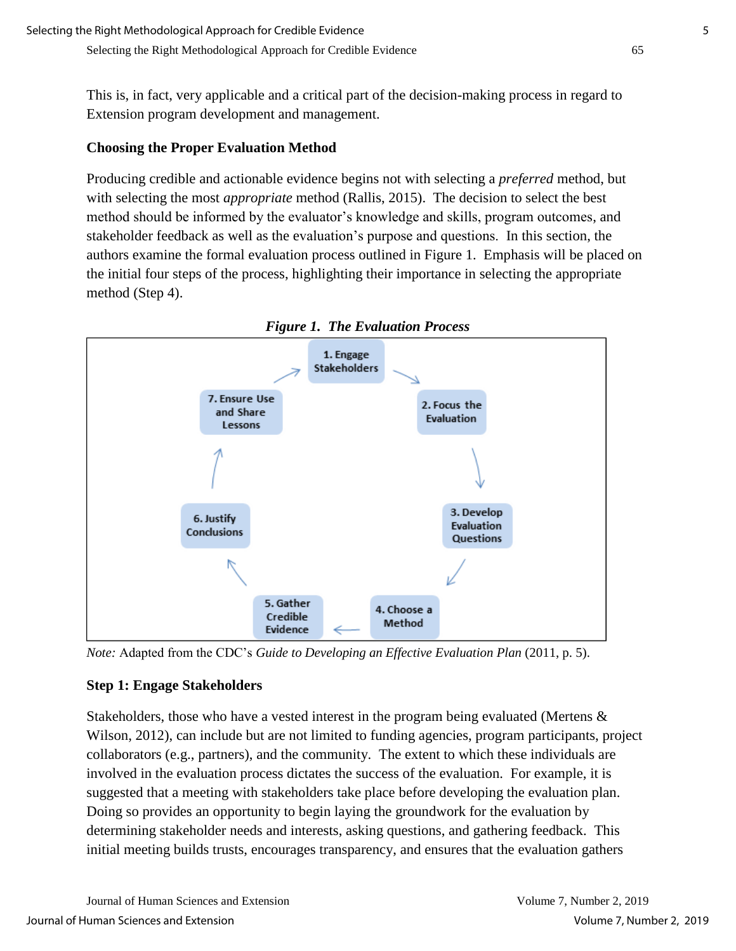This is, in fact, very applicable and a critical part of the decision-making process in regard to Extension program development and management.

### **Choosing the Proper Evaluation Method**

Producing credible and actionable evidence begins not with selecting a *preferred* method, but with selecting the most *appropriate* method (Rallis, 2015). The decision to select the best method should be informed by the evaluator's knowledge and skills, program outcomes, and stakeholder feedback as well as the evaluation's purpose and questions. In this section, the authors examine the formal evaluation process outlined in Figure 1. Emphasis will be placed on the initial four steps of the process, highlighting their importance in selecting the appropriate method (Step 4).



*Note:* Adapted from the CDC's *Guide to Developing an Effective Evaluation Plan* (2011, p. 5).

#### **Step 1: Engage Stakeholders**

Stakeholders, those who have a vested interest in the program being evaluated (Mertens & Wilson, 2012), can include but are not limited to funding agencies, program participants, project collaborators (e.g., partners), and the community. The extent to which these individuals are involved in the evaluation process dictates the success of the evaluation. For example, it is suggested that a meeting with stakeholders take place before developing the evaluation plan. Doing so provides an opportunity to begin laying the groundwork for the evaluation by determining stakeholder needs and interests, asking questions, and gathering feedback. This initial meeting builds trusts, encourages transparency, and ensures that the evaluation gathers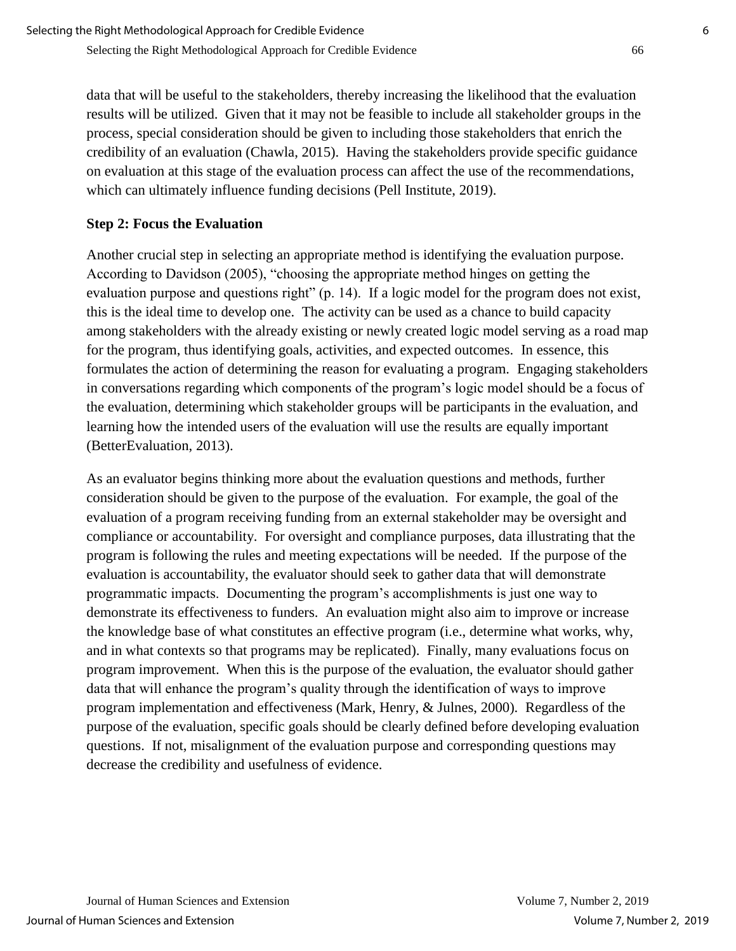data that will be useful to the stakeholders, thereby increasing the likelihood that the evaluation results will be utilized. Given that it may not be feasible to include all stakeholder groups in the process, special consideration should be given to including those stakeholders that enrich the credibility of an evaluation (Chawla, 2015). Having the stakeholders provide specific guidance on evaluation at this stage of the evaluation process can affect the use of the recommendations, which can ultimately influence funding decisions (Pell Institute, 2019).

## **Step 2: Focus the Evaluation**

Another crucial step in selecting an appropriate method is identifying the evaluation purpose. According to Davidson (2005), "choosing the appropriate method hinges on getting the evaluation purpose and questions right" (p. 14). If a logic model for the program does not exist, this is the ideal time to develop one. The activity can be used as a chance to build capacity among stakeholders with the already existing or newly created logic model serving as a road map for the program, thus identifying goals, activities, and expected outcomes. In essence, this formulates the action of determining the reason for evaluating a program. Engaging stakeholders in conversations regarding which components of the program's logic model should be a focus of the evaluation, determining which stakeholder groups will be participants in the evaluation, and learning how the intended users of the evaluation will use the results are equally important (BetterEvaluation, 2013).

As an evaluator begins thinking more about the evaluation questions and methods, further consideration should be given to the purpose of the evaluation. For example, the goal of the evaluation of a program receiving funding from an external stakeholder may be oversight and compliance or accountability. For oversight and compliance purposes, data illustrating that the program is following the rules and meeting expectations will be needed. If the purpose of the evaluation is accountability, the evaluator should seek to gather data that will demonstrate programmatic impacts. Documenting the program's accomplishments is just one way to demonstrate its effectiveness to funders. An evaluation might also aim to improve or increase the knowledge base of what constitutes an effective program (i.e., determine what works, why, and in what contexts so that programs may be replicated). Finally, many evaluations focus on program improvement. When this is the purpose of the evaluation, the evaluator should gather data that will enhance the program's quality through the identification of ways to improve program implementation and effectiveness (Mark, Henry, & Julnes, 2000). Regardless of the purpose of the evaluation, specific goals should be clearly defined before developing evaluation questions. If not, misalignment of the evaluation purpose and corresponding questions may decrease the credibility and usefulness of evidence.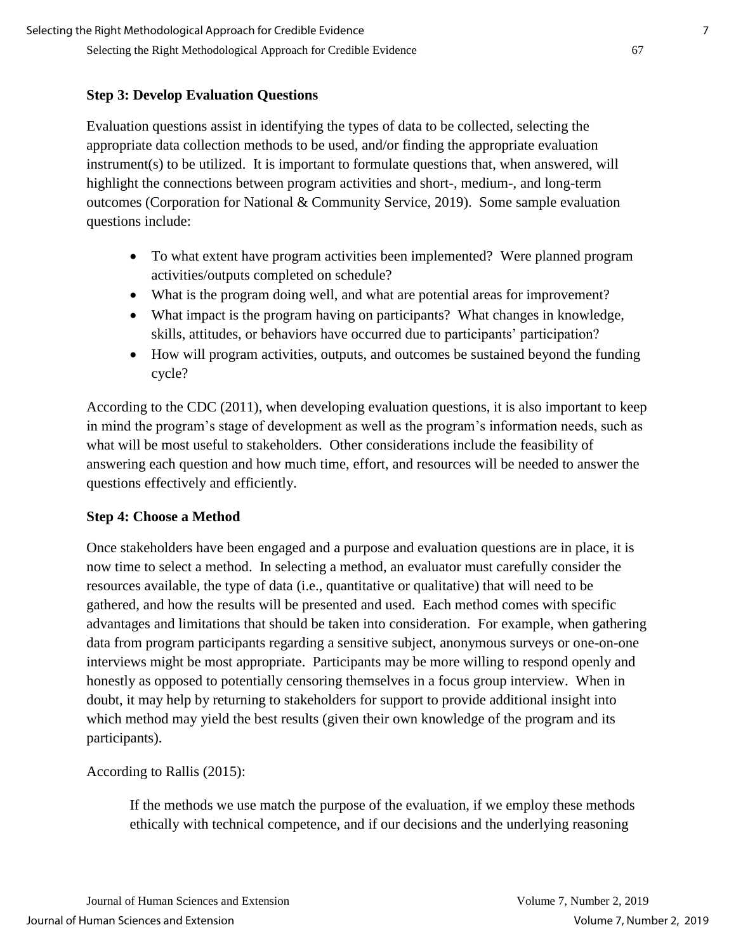## **Step 3: Develop Evaluation Questions**

Evaluation questions assist in identifying the types of data to be collected, selecting the appropriate data collection methods to be used, and/or finding the appropriate evaluation instrument(s) to be utilized. It is important to formulate questions that, when answered, will highlight the connections between program activities and short-, medium-, and long-term outcomes (Corporation for National & Community Service, 2019). Some sample evaluation questions include:

- To what extent have program activities been implemented? Were planned program activities/outputs completed on schedule?
- What is the program doing well, and what are potential areas for improvement?
- What impact is the program having on participants? What changes in knowledge, skills, attitudes, or behaviors have occurred due to participants' participation?
- How will program activities, outputs, and outcomes be sustained beyond the funding cycle?

According to the CDC (2011), when developing evaluation questions, it is also important to keep in mind the program's stage of development as well as the program's information needs, such as what will be most useful to stakeholders. Other considerations include the feasibility of answering each question and how much time, effort, and resources will be needed to answer the questions effectively and efficiently.

#### **Step 4: Choose a Method**

Once stakeholders have been engaged and a purpose and evaluation questions are in place, it is now time to select a method. In selecting a method, an evaluator must carefully consider the resources available, the type of data (i.e., quantitative or qualitative) that will need to be gathered, and how the results will be presented and used. Each method comes with specific advantages and limitations that should be taken into consideration. For example, when gathering data from program participants regarding a sensitive subject, anonymous surveys or one-on-one interviews might be most appropriate. Participants may be more willing to respond openly and honestly as opposed to potentially censoring themselves in a focus group interview. When in doubt, it may help by returning to stakeholders for support to provide additional insight into which method may yield the best results (given their own knowledge of the program and its participants).

According to Rallis (2015):

If the methods we use match the purpose of the evaluation, if we employ these methods ethically with technical competence, and if our decisions and the underlying reasoning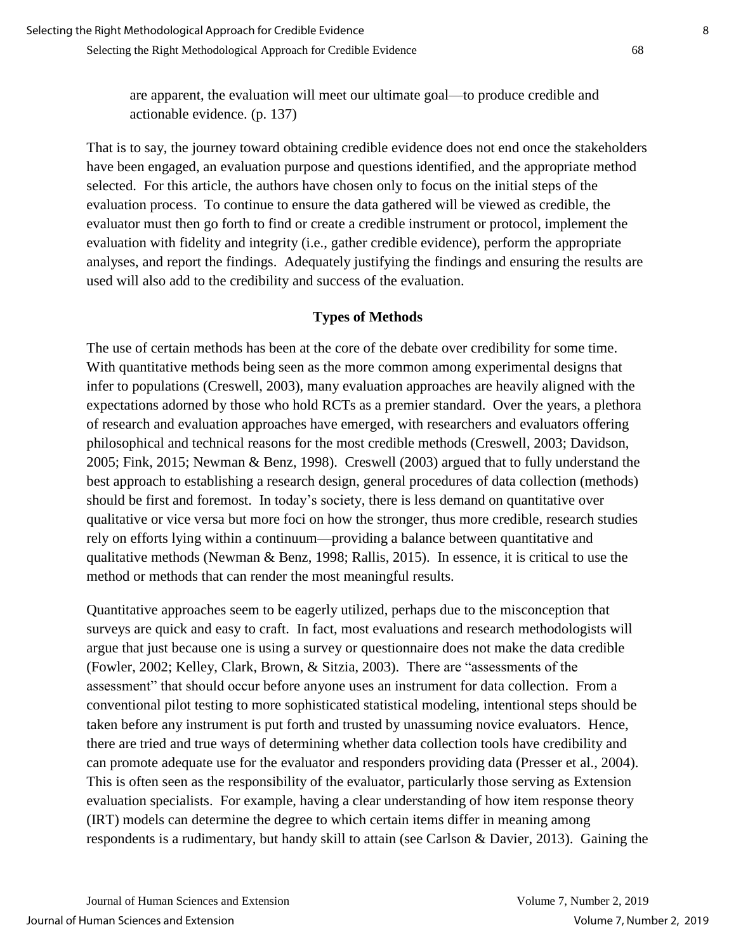are apparent, the evaluation will meet our ultimate goal—to produce credible and actionable evidence. (p. 137)

That is to say, the journey toward obtaining credible evidence does not end once the stakeholders have been engaged, an evaluation purpose and questions identified, and the appropriate method selected. For this article, the authors have chosen only to focus on the initial steps of the evaluation process. To continue to ensure the data gathered will be viewed as credible, the evaluator must then go forth to find or create a credible instrument or protocol, implement the evaluation with fidelity and integrity (i.e., gather credible evidence), perform the appropriate analyses, and report the findings. Adequately justifying the findings and ensuring the results are used will also add to the credibility and success of the evaluation.

#### **Types of Methods**

The use of certain methods has been at the core of the debate over credibility for some time. With quantitative methods being seen as the more common among experimental designs that infer to populations (Creswell, 2003), many evaluation approaches are heavily aligned with the expectations adorned by those who hold RCTs as a premier standard. Over the years, a plethora of research and evaluation approaches have emerged, with researchers and evaluators offering philosophical and technical reasons for the most credible methods (Creswell, 2003; Davidson, 2005; Fink, 2015; Newman & Benz, 1998). Creswell (2003) argued that to fully understand the best approach to establishing a research design, general procedures of data collection (methods) should be first and foremost. In today's society, there is less demand on quantitative over qualitative or vice versa but more foci on how the stronger, thus more credible, research studies rely on efforts lying within a continuum—providing a balance between quantitative and qualitative methods (Newman & Benz, 1998; Rallis, 2015). In essence, it is critical to use the method or methods that can render the most meaningful results.

Quantitative approaches seem to be eagerly utilized, perhaps due to the misconception that surveys are quick and easy to craft. In fact, most evaluations and research methodologists will argue that just because one is using a survey or questionnaire does not make the data credible (Fowler, 2002; Kelley, Clark, Brown, & Sitzia, 2003). There are "assessments of the assessment" that should occur before anyone uses an instrument for data collection. From a conventional pilot testing to more sophisticated statistical modeling, intentional steps should be taken before any instrument is put forth and trusted by unassuming novice evaluators. Hence, there are tried and true ways of determining whether data collection tools have credibility and can promote adequate use for the evaluator and responders providing data (Presser et al., 2004). This is often seen as the responsibility of the evaluator, particularly those serving as Extension evaluation specialists. For example, having a clear understanding of how item response theory (IRT) models can determine the degree to which certain items differ in meaning among respondents is a rudimentary, but handy skill to attain (see Carlson & Davier, 2013). Gaining the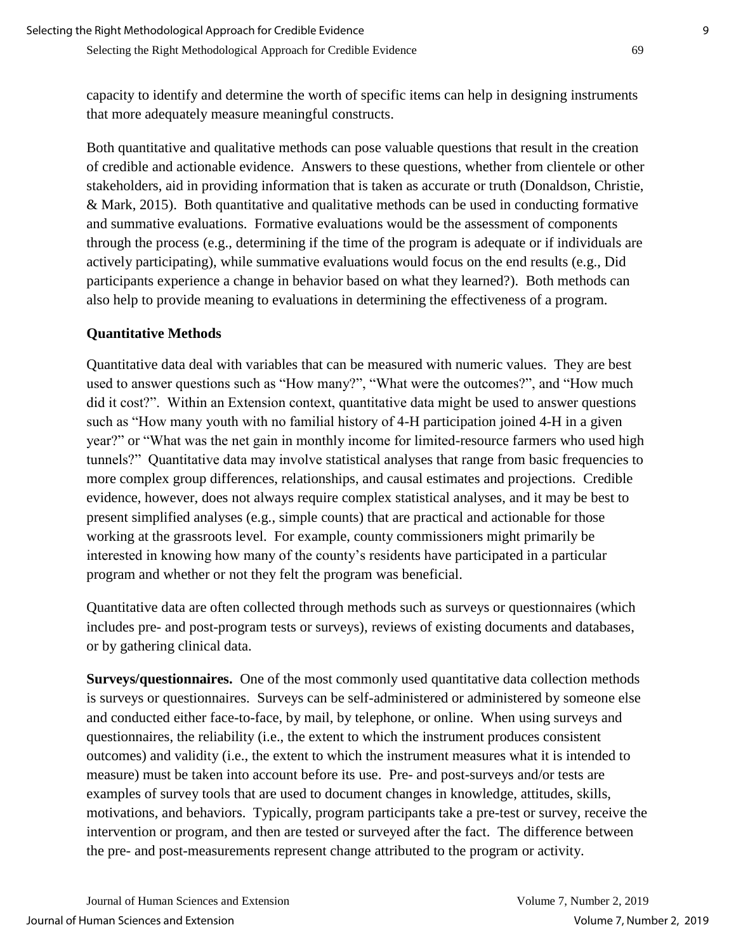capacity to identify and determine the worth of specific items can help in designing instruments that more adequately measure meaningful constructs.

Both quantitative and qualitative methods can pose valuable questions that result in the creation of credible and actionable evidence. Answers to these questions, whether from clientele or other stakeholders, aid in providing information that is taken as accurate or truth (Donaldson, Christie, & Mark, 2015). Both quantitative and qualitative methods can be used in conducting formative and summative evaluations. Formative evaluations would be the assessment of components through the process (e.g., determining if the time of the program is adequate or if individuals are actively participating), while summative evaluations would focus on the end results (e.g., Did participants experience a change in behavior based on what they learned?). Both methods can also help to provide meaning to evaluations in determining the effectiveness of a program.

## **Quantitative Methods**

Quantitative data deal with variables that can be measured with numeric values. They are best used to answer questions such as "How many?", "What were the outcomes?", and "How much did it cost?". Within an Extension context, quantitative data might be used to answer questions such as "How many youth with no familial history of 4-H participation joined 4-H in a given year?" or "What was the net gain in monthly income for limited-resource farmers who used high tunnels?" Quantitative data may involve statistical analyses that range from basic frequencies to more complex group differences, relationships, and causal estimates and projections. Credible evidence, however, does not always require complex statistical analyses, and it may be best to present simplified analyses (e.g., simple counts) that are practical and actionable for those working at the grassroots level. For example, county commissioners might primarily be interested in knowing how many of the county's residents have participated in a particular program and whether or not they felt the program was beneficial.

Quantitative data are often collected through methods such as surveys or questionnaires (which includes pre- and post-program tests or surveys), reviews of existing documents and databases, or by gathering clinical data.

**Surveys/questionnaires.** One of the most commonly used quantitative data collection methods is surveys or questionnaires. Surveys can be self-administered or administered by someone else and conducted either face-to-face, by mail, by telephone, or online. When using surveys and questionnaires, the reliability (i.e., the extent to which the instrument produces consistent outcomes) and validity (i.e., the extent to which the instrument measures what it is intended to measure) must be taken into account before its use. Pre- and post-surveys and/or tests are examples of survey tools that are used to document changes in knowledge, attitudes, skills, motivations, and behaviors. Typically, program participants take a pre-test or survey, receive the intervention or program, and then are tested or surveyed after the fact. The difference between the pre- and post-measurements represent change attributed to the program or activity.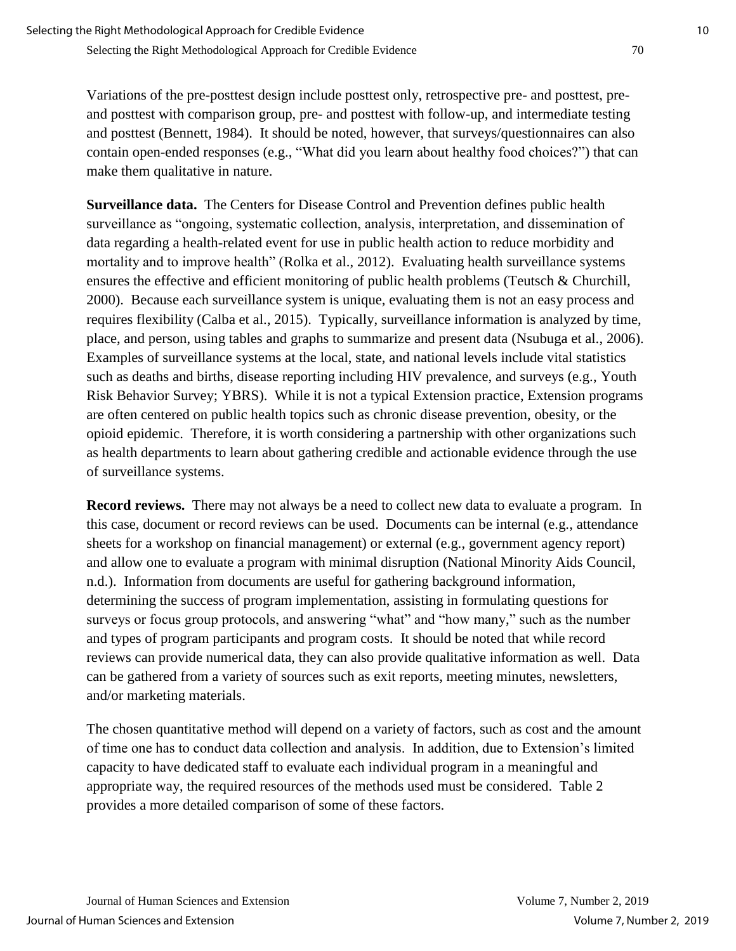Variations of the pre-posttest design include posttest only, retrospective pre- and posttest, preand posttest with comparison group, pre- and posttest with follow-up, and intermediate testing and posttest (Bennett, 1984). It should be noted, however, that surveys/questionnaires can also contain open-ended responses (e.g., "What did you learn about healthy food choices?") that can make them qualitative in nature.

**Surveillance data.** The Centers for Disease Control and Prevention defines public health surveillance as "ongoing, systematic collection, analysis, interpretation, and dissemination of data regarding a health-related event for use in public health action to reduce morbidity and mortality and to improve health" (Rolka et al., 2012). Evaluating health surveillance systems ensures the effective and efficient monitoring of public health problems (Teutsch & Churchill, 2000). Because each surveillance system is unique, evaluating them is not an easy process and requires flexibility (Calba et al., 2015). Typically, surveillance information is analyzed by time, place, and person, using tables and graphs to summarize and present data (Nsubuga et al., 2006). Examples of surveillance systems at the local, state, and national levels include vital statistics such as deaths and births, disease reporting including HIV prevalence, and surveys (e.g., Youth Risk Behavior Survey; YBRS). While it is not a typical Extension practice, Extension programs are often centered on public health topics such as chronic disease prevention, obesity, or the opioid epidemic. Therefore, it is worth considering a partnership with other organizations such as health departments to learn about gathering credible and actionable evidence through the use of surveillance systems.

**Record reviews.** There may not always be a need to collect new data to evaluate a program. In this case, document or record reviews can be used. Documents can be internal (e.g., attendance sheets for a workshop on financial management) or external (e.g., government agency report) and allow one to evaluate a program with minimal disruption (National Minority Aids Council, n.d.). Information from documents are useful for gathering background information, determining the success of program implementation, assisting in formulating questions for surveys or focus group protocols, and answering "what" and "how many," such as the number and types of program participants and program costs. It should be noted that while record reviews can provide numerical data, they can also provide qualitative information as well. Data can be gathered from a variety of sources such as exit reports, meeting minutes, newsletters, and/or marketing materials.

The chosen quantitative method will depend on a variety of factors, such as cost and the amount of time one has to conduct data collection and analysis. In addition, due to Extension's limited capacity to have dedicated staff to evaluate each individual program in a meaningful and appropriate way, the required resources of the methods used must be considered. Table 2 provides a more detailed comparison of some of these factors.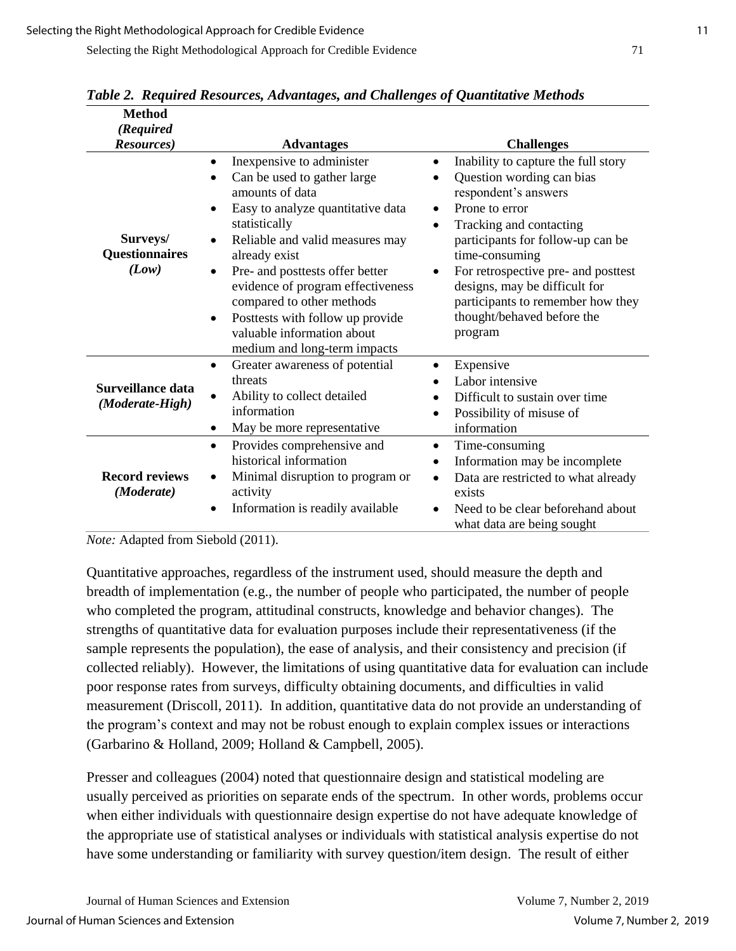| <b>Method</b><br>(Required<br>Resources)                      | <b>Advantages</b>                                                                                                                                                                                                                                                                                                                                                                                                                                  | <b>Challenges</b>                                                                                                                                                                                                                                                                                                                                                                      |
|---------------------------------------------------------------|----------------------------------------------------------------------------------------------------------------------------------------------------------------------------------------------------------------------------------------------------------------------------------------------------------------------------------------------------------------------------------------------------------------------------------------------------|----------------------------------------------------------------------------------------------------------------------------------------------------------------------------------------------------------------------------------------------------------------------------------------------------------------------------------------------------------------------------------------|
| Surveys/<br><b>Questionnaires</b><br>(Low)                    | Inexpensive to administer<br>٠<br>Can be used to gather large<br>$\bullet$<br>amounts of data<br>Easy to analyze quantitative data<br>٠<br>statistically<br>Reliable and valid measures may<br>$\bullet$<br>already exist<br>Pre- and posttests offer better<br>٠<br>evidence of program effectiveness<br>compared to other methods<br>Posttests with follow up provide<br>$\bullet$<br>valuable information about<br>medium and long-term impacts | Inability to capture the full story<br>٠<br>Question wording can bias<br>respondent's answers<br>Prone to error<br>٠<br>Tracking and contacting<br>$\bullet$<br>participants for follow-up can be<br>time-consuming<br>For retrospective pre- and posttest<br>$\bullet$<br>designs, may be difficult for<br>participants to remember how they<br>thought/behaved before the<br>program |
| Surveillance data<br>(Moderate-High)<br><b>Record reviews</b> | Greater awareness of potential<br>$\bullet$<br>threats<br>Ability to collect detailed<br>information<br>May be more representative<br>٠<br>Provides comprehensive and<br>$\bullet$<br>historical information<br>Minimal disruption to program or<br>٠                                                                                                                                                                                              | Expensive<br>$\bullet$<br>Labor intensive<br>Difficult to sustain over time<br>Possibility of misuse of<br>$\bullet$<br>information<br>Time-consuming<br>$\bullet$<br>Information may be incomplete<br>٠<br>Data are restricted to what already<br>$\bullet$                                                                                                                           |
| (Moderate)                                                    | activity<br>Information is readily available                                                                                                                                                                                                                                                                                                                                                                                                       | exists<br>Need to be clear beforehand about<br>$\bullet$<br>what data are being sought                                                                                                                                                                                                                                                                                                 |

*Table 2. Required Resources, Advantages, and Challenges of Quantitative Methods*

*Note:* Adapted from Siebold (2011).

Quantitative approaches, regardless of the instrument used, should measure the depth and breadth of implementation (e.g., the number of people who participated, the number of people who completed the program, attitudinal constructs, knowledge and behavior changes). The strengths of quantitative data for evaluation purposes include their representativeness (if the sample represents the population), the ease of analysis, and their consistency and precision (if collected reliably). However, the limitations of using quantitative data for evaluation can include poor response rates from surveys, difficulty obtaining documents, and difficulties in valid measurement (Driscoll, 2011). In addition, quantitative data do not provide an understanding of the program's context and may not be robust enough to explain complex issues or interactions (Garbarino & Holland, 2009; Holland & Campbell, 2005).

Presser and colleagues (2004) noted that questionnaire design and statistical modeling are usually perceived as priorities on separate ends of the spectrum. In other words, problems occur when either individuals with questionnaire design expertise do not have adequate knowledge of the appropriate use of statistical analyses or individuals with statistical analysis expertise do not have some understanding or familiarity with survey question/item design. The result of either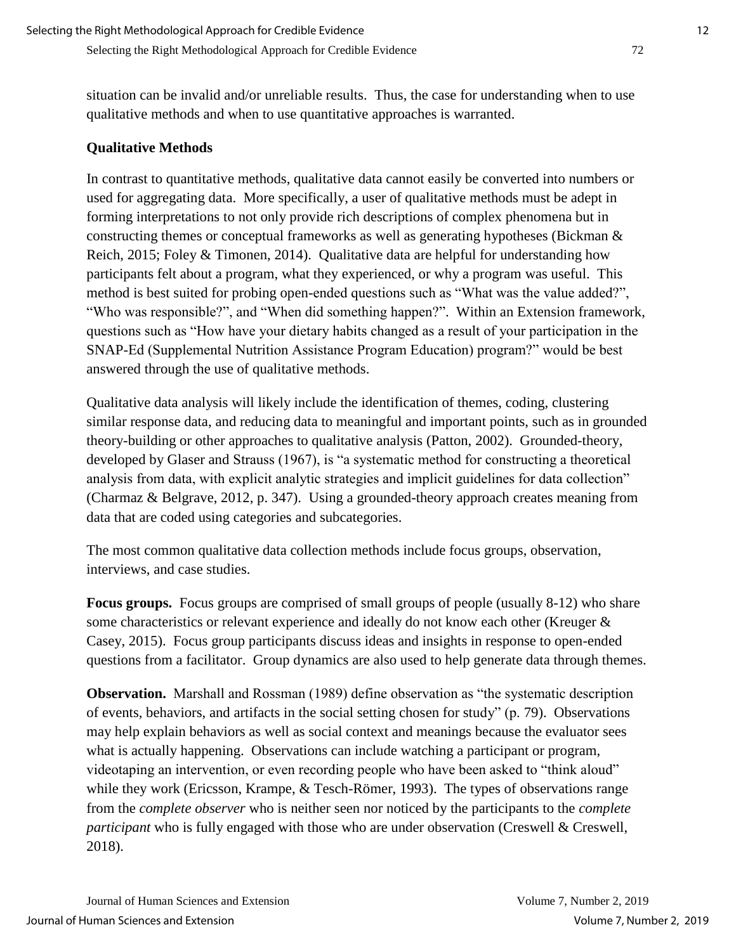situation can be invalid and/or unreliable results. Thus, the case for understanding when to use qualitative methods and when to use quantitative approaches is warranted.

## **Qualitative Methods**

In contrast to quantitative methods, qualitative data cannot easily be converted into numbers or used for aggregating data. More specifically, a user of qualitative methods must be adept in forming interpretations to not only provide rich descriptions of complex phenomena but in constructing themes or conceptual frameworks as well as generating hypotheses (Bickman & Reich, 2015; Foley & Timonen, 2014). Qualitative data are helpful for understanding how participants felt about a program, what they experienced, or why a program was useful. This method is best suited for probing open-ended questions such as "What was the value added?", "Who was responsible?", and "When did something happen?". Within an Extension framework, questions such as "How have your dietary habits changed as a result of your participation in the SNAP-Ed (Supplemental Nutrition Assistance Program Education) program?" would be best answered through the use of qualitative methods.

Qualitative data analysis will likely include the identification of themes, coding, clustering similar response data, and reducing data to meaningful and important points, such as in grounded theory-building or other approaches to qualitative analysis (Patton, 2002). Grounded-theory, developed by Glaser and Strauss (1967), is "a systematic method for constructing a theoretical analysis from data, with explicit analytic strategies and implicit guidelines for data collection" (Charmaz & Belgrave, 2012, p. 347). Using a grounded-theory approach creates meaning from data that are coded using categories and subcategories.

The most common qualitative data collection methods include focus groups, observation, interviews, and case studies.

**Focus groups.** Focus groups are comprised of small groups of people (usually 8-12) who share some characteristics or relevant experience and ideally do not know each other (Kreuger & Casey, 2015). Focus group participants discuss ideas and insights in response to open-ended questions from a facilitator. Group dynamics are also used to help generate data through themes.

**Observation.** Marshall and Rossman (1989) define observation as "the systematic description of events, behaviors, and artifacts in the social setting chosen for study" (p. 79). Observations may help explain behaviors as well as social context and meanings because the evaluator sees what is actually happening. Observations can include watching a participant or program, videotaping an intervention, or even recording people who have been asked to "think aloud" while they work (Ericsson, Krampe, & Tesch-Römer, 1993). The types of observations range from the *complete observer* who is neither seen nor noticed by the participants to the *complete participant* who is fully engaged with those who are under observation (Creswell & Creswell, 2018).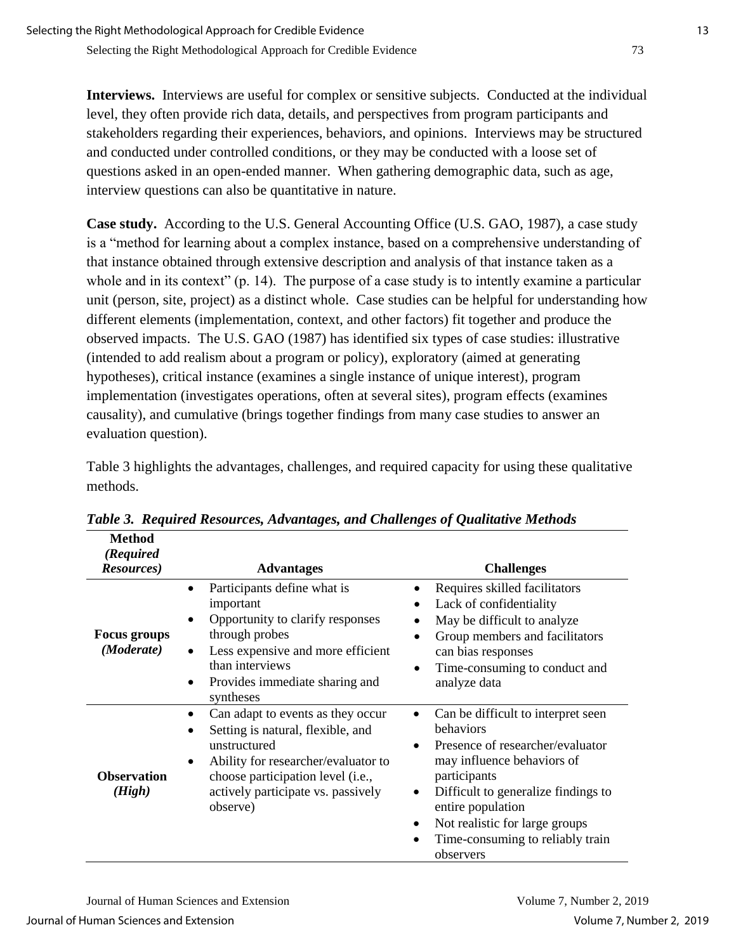**Interviews.** Interviews are useful for complex or sensitive subjects. Conducted at the individual level, they often provide rich data, details, and perspectives from program participants and stakeholders regarding their experiences, behaviors, and opinions. Interviews may be structured and conducted under controlled conditions, or they may be conducted with a loose set of questions asked in an open-ended manner. When gathering demographic data, such as age, interview questions can also be quantitative in nature.

**Case study.** According to the U.S. General Accounting Office (U.S. GAO, 1987), a case study is a "method for learning about a complex instance, based on a comprehensive understanding of that instance obtained through extensive description and analysis of that instance taken as a whole and in its context" (p. 14). The purpose of a case study is to intently examine a particular unit (person, site, project) as a distinct whole. Case studies can be helpful for understanding how different elements (implementation, context, and other factors) fit together and produce the observed impacts. The U.S. GAO (1987) has identified six types of case studies: illustrative (intended to add realism about a program or policy), exploratory (aimed at generating hypotheses), critical instance (examines a single instance of unique interest), program implementation (investigates operations, often at several sites), program effects (examines causality), and cumulative (brings together findings from many case studies to answer an evaluation question).

Table 3 highlights the advantages, challenges, and required capacity for using these qualitative methods.

| (Required<br>Resources)           | <b>Advantages</b>                                                                                                                                                                                                                              | <b>Challenges</b>                                                                                                                                                                                                                                                                                                                                 |
|-----------------------------------|------------------------------------------------------------------------------------------------------------------------------------------------------------------------------------------------------------------------------------------------|---------------------------------------------------------------------------------------------------------------------------------------------------------------------------------------------------------------------------------------------------------------------------------------------------------------------------------------------------|
| <b>Focus groups</b><br>(Moderate) | Participants define what is<br>$\bullet$<br>important<br>Opportunity to clarify responses<br>through probes<br>Less expensive and more efficient<br>$\bullet$<br>than interviews<br>Provides immediate sharing and<br>٠<br>syntheses           | Requires skilled facilitators<br>٠<br>Lack of confidentiality<br>May be difficult to analyze<br>Group members and facilitators<br>$\bullet$<br>can bias responses<br>Time-consuming to conduct and<br>$\bullet$<br>analyze data                                                                                                                   |
| <b>Observation</b><br>(High)      | Can adapt to events as they occur<br>$\bullet$<br>Setting is natural, flexible, and<br>$\bullet$<br>unstructured<br>Ability for researcher/evaluator to<br>choose participation level (i.e.,<br>actively participate vs. passively<br>observe) | Can be difficult to interpret seen<br>$\bullet$<br>behaviors<br>Presence of researcher/evaluator<br>$\bullet$<br>may influence behaviors of<br>participants<br>Difficult to generalize findings to<br>$\bullet$<br>entire population<br>Not realistic for large groups<br>$\bullet$<br>Time-consuming to reliably train<br>$\bullet$<br>observers |

*Table 3. Required Resources, Advantages, and Challenges of Qualitative Methods*

**Method**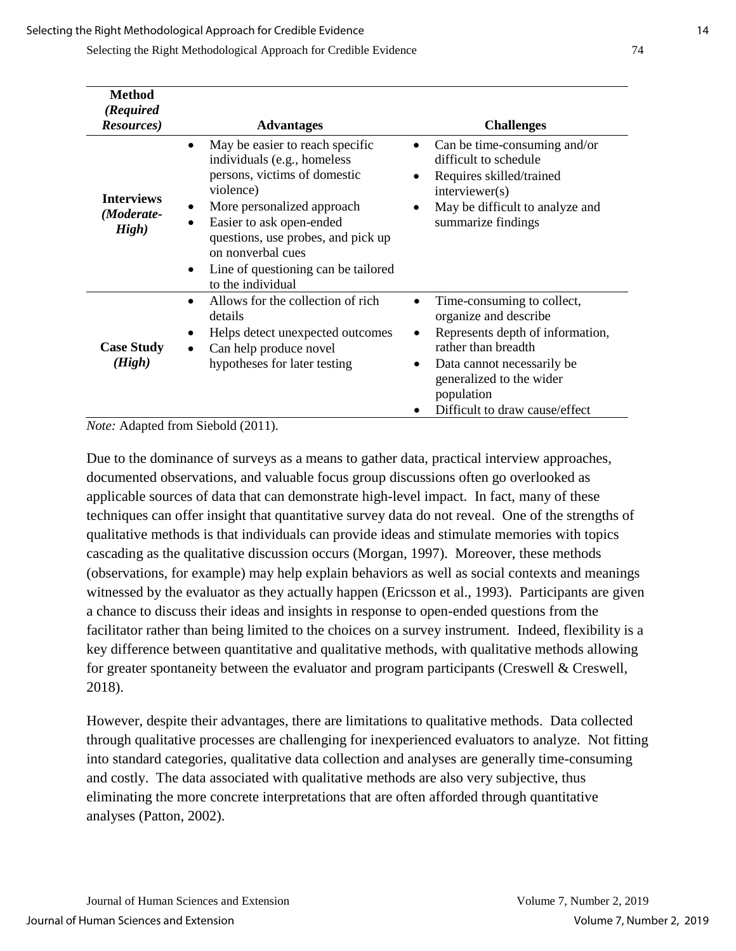Selecting the Right Methodological Approach for Credible Evidence 74

| <b>Method</b><br>(Required<br><b>Resources</b> ) | <b>Advantages</b>                                                                                                                                                                                                                                                                                                                   | <b>Challenges</b>                                                                                                                                                                                                                     |
|--------------------------------------------------|-------------------------------------------------------------------------------------------------------------------------------------------------------------------------------------------------------------------------------------------------------------------------------------------------------------------------------------|---------------------------------------------------------------------------------------------------------------------------------------------------------------------------------------------------------------------------------------|
| <b>Interviews</b><br>(Moderate-<br>High)         | May be easier to reach specific<br>$\bullet$<br>individuals (e.g., homeless<br>persons, victims of domestic<br>violence)<br>More personalized approach<br>$\bullet$<br>Easier to ask open-ended<br>questions, use probes, and pick up<br>on nonverbal cues<br>Line of questioning can be tailored<br>$\bullet$<br>to the individual | Can be time-consuming and/or<br>difficult to schedule<br>Requires skilled/trained<br>interviewer(s)<br>May be difficult to analyze and<br>summarize findings                                                                          |
| <b>Case Study</b><br>(High)                      | Allows for the collection of rich<br>details<br>Helps detect unexpected outcomes<br>Can help produce novel<br>hypotheses for later testing                                                                                                                                                                                          | Time-consuming to collect,<br>organize and describe<br>Represents depth of information,<br>rather than breadth<br>Data cannot necessarily be<br>$\bullet$<br>generalized to the wider<br>population<br>Difficult to draw cause/effect |

*Note:* Adapted from Siebold (2011).

Due to the dominance of surveys as a means to gather data, practical interview approaches, documented observations, and valuable focus group discussions often go overlooked as applicable sources of data that can demonstrate high-level impact. In fact, many of these techniques can offer insight that quantitative survey data do not reveal. One of the strengths of qualitative methods is that individuals can provide ideas and stimulate memories with topics cascading as the qualitative discussion occurs (Morgan, 1997). Moreover, these methods (observations, for example) may help explain behaviors as well as social contexts and meanings witnessed by the evaluator as they actually happen (Ericsson et al., 1993). Participants are given a chance to discuss their ideas and insights in response to open-ended questions from the facilitator rather than being limited to the choices on a survey instrument. Indeed, flexibility is a key difference between quantitative and qualitative methods, with qualitative methods allowing for greater spontaneity between the evaluator and program participants (Creswell & Creswell, 2018).

However, despite their advantages, there are limitations to qualitative methods. Data collected through qualitative processes are challenging for inexperienced evaluators to analyze. Not fitting into standard categories, qualitative data collection and analyses are generally time-consuming and costly. The data associated with qualitative methods are also very subjective, thus eliminating the more concrete interpretations that are often afforded through quantitative analyses (Patton, 2002).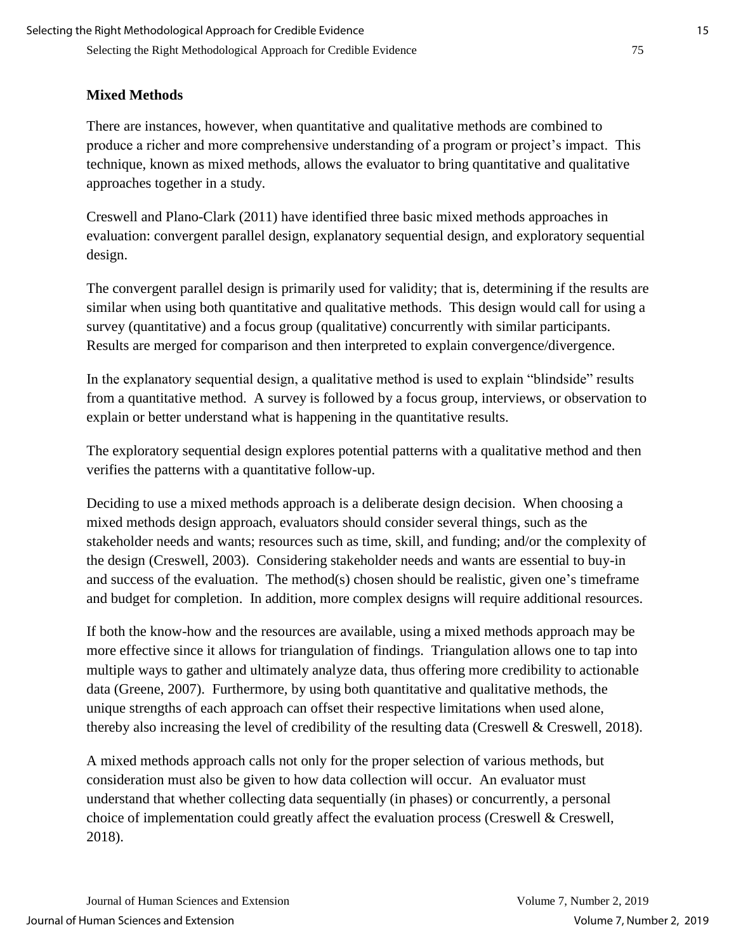## **Mixed Methods**

There are instances, however, when quantitative and qualitative methods are combined to produce a richer and more comprehensive understanding of a program or project's impact. This technique, known as mixed methods, allows the evaluator to bring quantitative and qualitative approaches together in a study.

Creswell and Plano-Clark (2011) have identified three basic mixed methods approaches in evaluation: convergent parallel design, explanatory sequential design, and exploratory sequential design.

The convergent parallel design is primarily used for validity; that is, determining if the results are similar when using both quantitative and qualitative methods. This design would call for using a survey (quantitative) and a focus group (qualitative) concurrently with similar participants. Results are merged for comparison and then interpreted to explain convergence/divergence.

In the explanatory sequential design, a qualitative method is used to explain "blindside" results from a quantitative method. A survey is followed by a focus group, interviews, or observation to explain or better understand what is happening in the quantitative results.

The exploratory sequential design explores potential patterns with a qualitative method and then verifies the patterns with a quantitative follow-up.

Deciding to use a mixed methods approach is a deliberate design decision. When choosing a mixed methods design approach, evaluators should consider several things, such as the stakeholder needs and wants; resources such as time, skill, and funding; and/or the complexity of the design (Creswell, 2003). Considering stakeholder needs and wants are essential to buy-in and success of the evaluation. The method(s) chosen should be realistic, given one's timeframe and budget for completion. In addition, more complex designs will require additional resources.

If both the know-how and the resources are available, using a mixed methods approach may be more effective since it allows for triangulation of findings. Triangulation allows one to tap into multiple ways to gather and ultimately analyze data, thus offering more credibility to actionable data (Greene, 2007). Furthermore, by using both quantitative and qualitative methods, the unique strengths of each approach can offset their respective limitations when used alone, thereby also increasing the level of credibility of the resulting data (Creswell & Creswell, 2018).

A mixed methods approach calls not only for the proper selection of various methods, but consideration must also be given to how data collection will occur. An evaluator must understand that whether collecting data sequentially (in phases) or concurrently, a personal choice of implementation could greatly affect the evaluation process (Creswell & Creswell, 2018).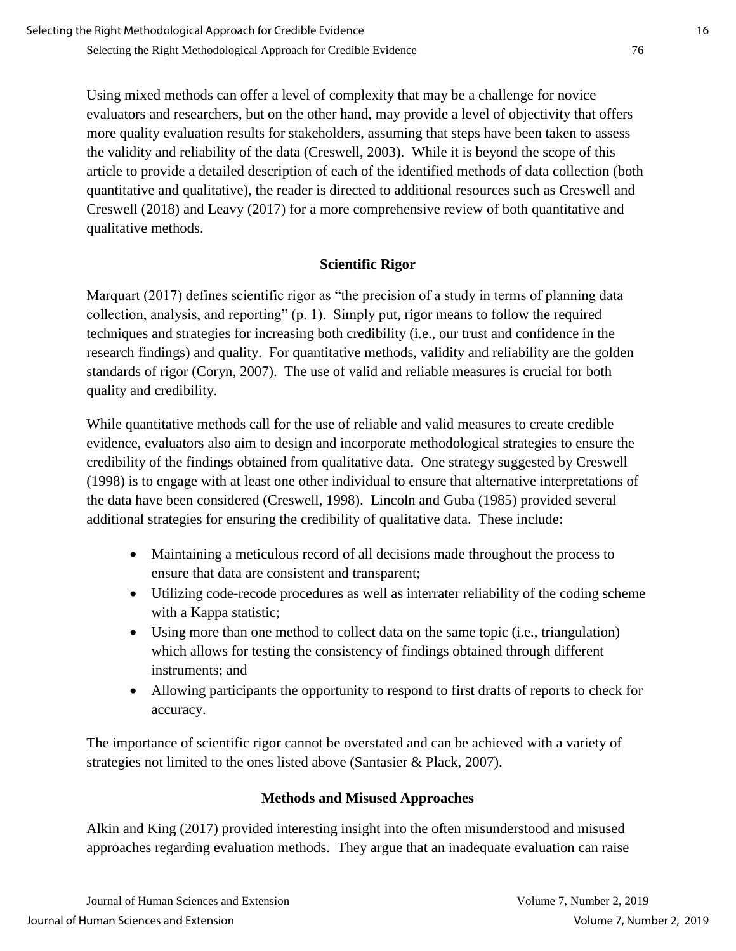Using mixed methods can offer a level of complexity that may be a challenge for novice evaluators and researchers, but on the other hand, may provide a level of objectivity that offers more quality evaluation results for stakeholders, assuming that steps have been taken to assess the validity and reliability of the data (Creswell, 2003). While it is beyond the scope of this article to provide a detailed description of each of the identified methods of data collection (both quantitative and qualitative), the reader is directed to additional resources such as Creswell and Creswell (2018) and Leavy (2017) for a more comprehensive review of both quantitative and qualitative methods.

## **Scientific Rigor**

Marquart (2017) defines scientific rigor as "the precision of a study in terms of planning data collection, analysis, and reporting" (p. 1). Simply put, rigor means to follow the required techniques and strategies for increasing both credibility (i.e., our trust and confidence in the research findings) and quality. For quantitative methods, validity and reliability are the golden standards of rigor (Coryn, 2007). The use of valid and reliable measures is crucial for both quality and credibility.

While quantitative methods call for the use of reliable and valid measures to create credible evidence, evaluators also aim to design and incorporate methodological strategies to ensure the credibility of the findings obtained from qualitative data. One strategy suggested by Creswell (1998) is to engage with at least one other individual to ensure that alternative interpretations of the data have been considered (Creswell, 1998). Lincoln and Guba (1985) provided several additional strategies for ensuring the credibility of qualitative data. These include:

- Maintaining a meticulous record of all decisions made throughout the process to ensure that data are consistent and transparent;
- Utilizing code-recode procedures as well as interrater reliability of the coding scheme with a Kappa statistic;
- Using more than one method to collect data on the same topic (i.e., triangulation) which allows for testing the consistency of findings obtained through different instruments; and
- Allowing participants the opportunity to respond to first drafts of reports to check for accuracy.

The importance of scientific rigor cannot be overstated and can be achieved with a variety of strategies not limited to the ones listed above (Santasier & Plack, 2007).

## **Methods and Misused Approaches**

Alkin and King (2017) provided interesting insight into the often misunderstood and misused approaches regarding evaluation methods. They argue that an inadequate evaluation can raise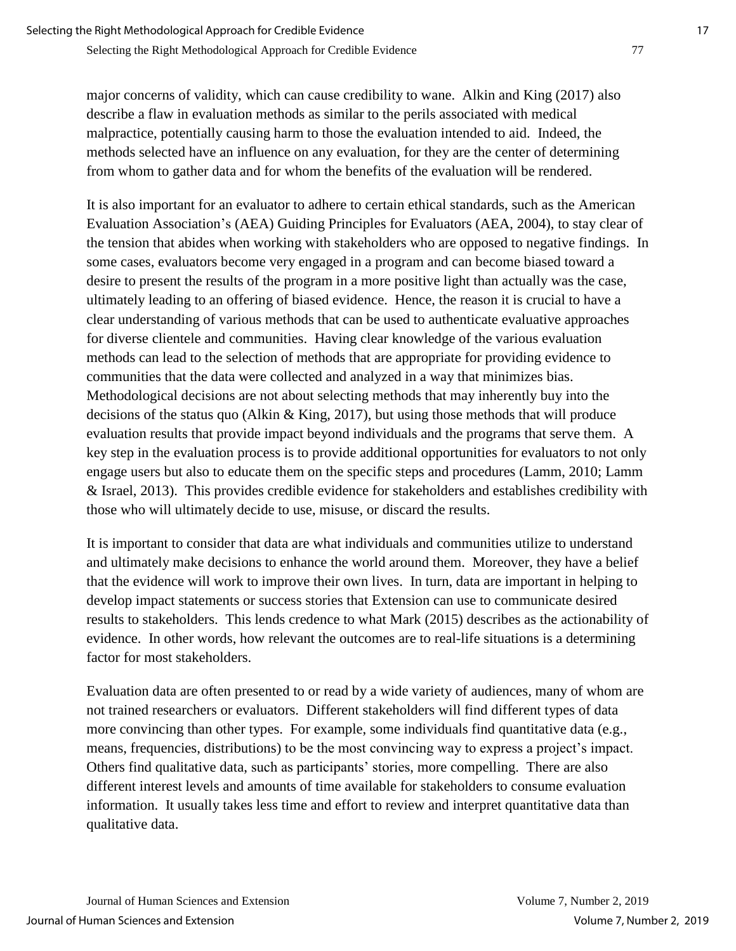major concerns of validity, which can cause credibility to wane. Alkin and King (2017) also describe a flaw in evaluation methods as similar to the perils associated with medical malpractice, potentially causing harm to those the evaluation intended to aid. Indeed, the methods selected have an influence on any evaluation, for they are the center of determining from whom to gather data and for whom the benefits of the evaluation will be rendered.

It is also important for an evaluator to adhere to certain ethical standards, such as the American Evaluation Association's (AEA) Guiding Principles for Evaluators (AEA, 2004), to stay clear of the tension that abides when working with stakeholders who are opposed to negative findings. In some cases, evaluators become very engaged in a program and can become biased toward a desire to present the results of the program in a more positive light than actually was the case, ultimately leading to an offering of biased evidence. Hence, the reason it is crucial to have a clear understanding of various methods that can be used to authenticate evaluative approaches for diverse clientele and communities. Having clear knowledge of the various evaluation methods can lead to the selection of methods that are appropriate for providing evidence to communities that the data were collected and analyzed in a way that minimizes bias. Methodological decisions are not about selecting methods that may inherently buy into the decisions of the status quo (Alkin & King, 2017), but using those methods that will produce evaluation results that provide impact beyond individuals and the programs that serve them. A key step in the evaluation process is to provide additional opportunities for evaluators to not only engage users but also to educate them on the specific steps and procedures (Lamm, 2010; Lamm & Israel, 2013). This provides credible evidence for stakeholders and establishes credibility with those who will ultimately decide to use, misuse, or discard the results.

It is important to consider that data are what individuals and communities utilize to understand and ultimately make decisions to enhance the world around them. Moreover, they have a belief that the evidence will work to improve their own lives. In turn, data are important in helping to develop impact statements or success stories that Extension can use to communicate desired results to stakeholders. This lends credence to what Mark (2015) describes as the actionability of evidence. In other words, how relevant the outcomes are to real-life situations is a determining factor for most stakeholders.

Evaluation data are often presented to or read by a wide variety of audiences, many of whom are not trained researchers or evaluators. Different stakeholders will find different types of data more convincing than other types. For example, some individuals find quantitative data (e.g., means, frequencies, distributions) to be the most convincing way to express a project's impact. Others find qualitative data, such as participants' stories, more compelling. There are also different interest levels and amounts of time available for stakeholders to consume evaluation information. It usually takes less time and effort to review and interpret quantitative data than qualitative data.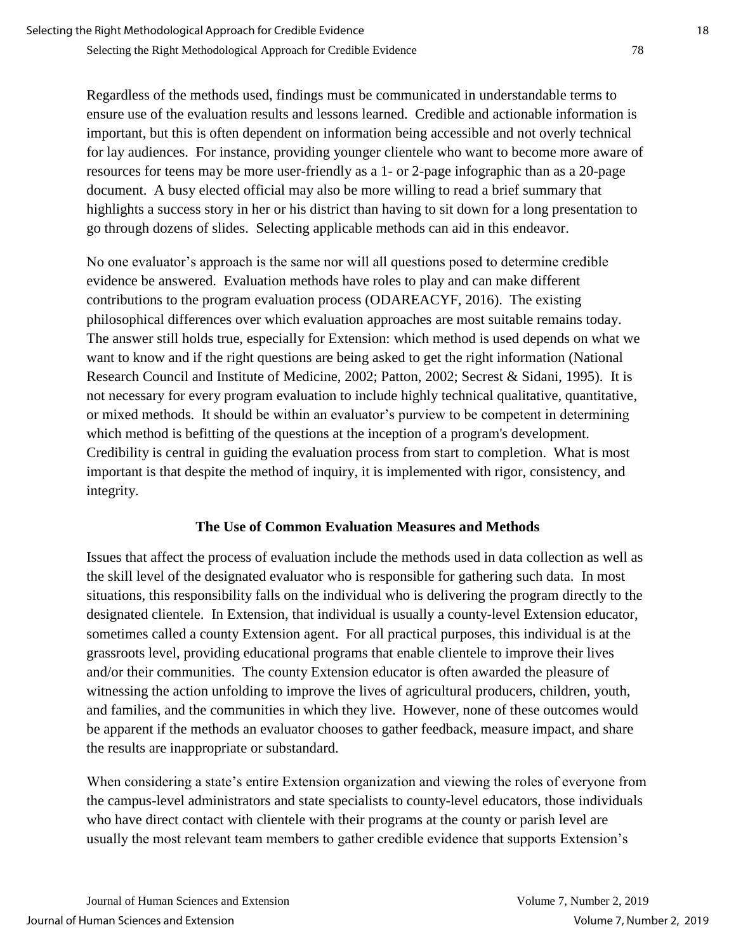Regardless of the methods used, findings must be communicated in understandable terms to ensure use of the evaluation results and lessons learned. Credible and actionable information is important, but this is often dependent on information being accessible and not overly technical for lay audiences. For instance, providing younger clientele who want to become more aware of resources for teens may be more user-friendly as a 1- or 2-page infographic than as a 20-page document. A busy elected official may also be more willing to read a brief summary that highlights a success story in her or his district than having to sit down for a long presentation to go through dozens of slides. Selecting applicable methods can aid in this endeavor.

No one evaluator's approach is the same nor will all questions posed to determine credible evidence be answered. Evaluation methods have roles to play and can make different contributions to the program evaluation process (ODAREACYF, 2016). The existing philosophical differences over which evaluation approaches are most suitable remains today. The answer still holds true, especially for Extension: which method is used depends on what we want to know and if the right questions are being asked to get the right information (National Research Council and Institute of Medicine, 2002; Patton, 2002; Secrest & Sidani, 1995). It is not necessary for every program evaluation to include highly technical qualitative, quantitative, or mixed methods. It should be within an evaluator's purview to be competent in determining which method is befitting of the questions at the inception of a program's development. Credibility is central in guiding the evaluation process from start to completion. What is most important is that despite the method of inquiry, it is implemented with rigor, consistency, and integrity.

## **The Use of Common Evaluation Measures and Methods**

Issues that affect the process of evaluation include the methods used in data collection as well as the skill level of the designated evaluator who is responsible for gathering such data. In most situations, this responsibility falls on the individual who is delivering the program directly to the designated clientele. In Extension, that individual is usually a county-level Extension educator, sometimes called a county Extension agent. For all practical purposes, this individual is at the grassroots level, providing educational programs that enable clientele to improve their lives and/or their communities. The county Extension educator is often awarded the pleasure of witnessing the action unfolding to improve the lives of agricultural producers, children, youth, and families, and the communities in which they live. However, none of these outcomes would be apparent if the methods an evaluator chooses to gather feedback, measure impact, and share the results are inappropriate or substandard.

When considering a state's entire Extension organization and viewing the roles of everyone from the campus-level administrators and state specialists to county-level educators, those individuals who have direct contact with clientele with their programs at the county or parish level are usually the most relevant team members to gather credible evidence that supports Extension's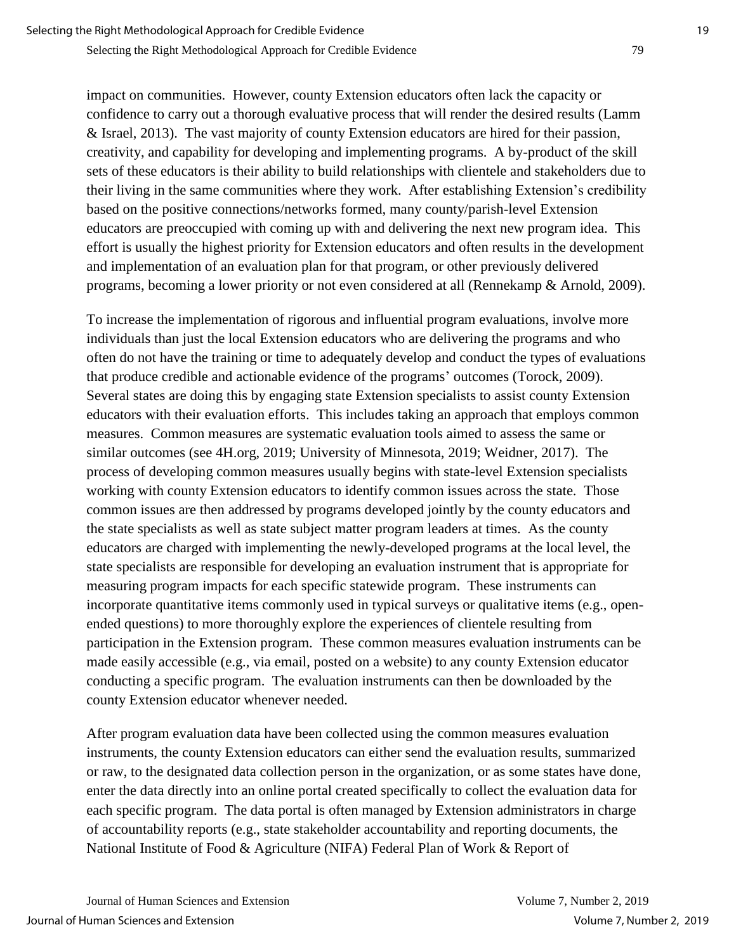impact on communities. However, county Extension educators often lack the capacity or confidence to carry out a thorough evaluative process that will render the desired results (Lamm & Israel, 2013). The vast majority of county Extension educators are hired for their passion, creativity, and capability for developing and implementing programs. A by-product of the skill sets of these educators is their ability to build relationships with clientele and stakeholders due to their living in the same communities where they work. After establishing Extension's credibility based on the positive connections/networks formed, many county/parish-level Extension educators are preoccupied with coming up with and delivering the next new program idea. This effort is usually the highest priority for Extension educators and often results in the development and implementation of an evaluation plan for that program, or other previously delivered programs, becoming a lower priority or not even considered at all (Rennekamp & Arnold, 2009).

To increase the implementation of rigorous and influential program evaluations, involve more individuals than just the local Extension educators who are delivering the programs and who often do not have the training or time to adequately develop and conduct the types of evaluations that produce credible and actionable evidence of the programs' outcomes (Torock, 2009). Several states are doing this by engaging state Extension specialists to assist county Extension educators with their evaluation efforts. This includes taking an approach that employs common measures. Common measures are systematic evaluation tools aimed to assess the same or similar outcomes (see 4H.org, 2019; University of Minnesota, 2019; Weidner, 2017). The process of developing common measures usually begins with state-level Extension specialists working with county Extension educators to identify common issues across the state. Those common issues are then addressed by programs developed jointly by the county educators and the state specialists as well as state subject matter program leaders at times. As the county educators are charged with implementing the newly-developed programs at the local level, the state specialists are responsible for developing an evaluation instrument that is appropriate for measuring program impacts for each specific statewide program. These instruments can incorporate quantitative items commonly used in typical surveys or qualitative items (e.g., openended questions) to more thoroughly explore the experiences of clientele resulting from participation in the Extension program. These common measures evaluation instruments can be made easily accessible (e.g., via email, posted on a website) to any county Extension educator conducting a specific program. The evaluation instruments can then be downloaded by the county Extension educator whenever needed.

After program evaluation data have been collected using the common measures evaluation instruments, the county Extension educators can either send the evaluation results, summarized or raw, to the designated data collection person in the organization, or as some states have done, enter the data directly into an online portal created specifically to collect the evaluation data for each specific program. The data portal is often managed by Extension administrators in charge of accountability reports (e.g., state stakeholder accountability and reporting documents, the National Institute of Food & Agriculture (NIFA) Federal Plan of Work & Report of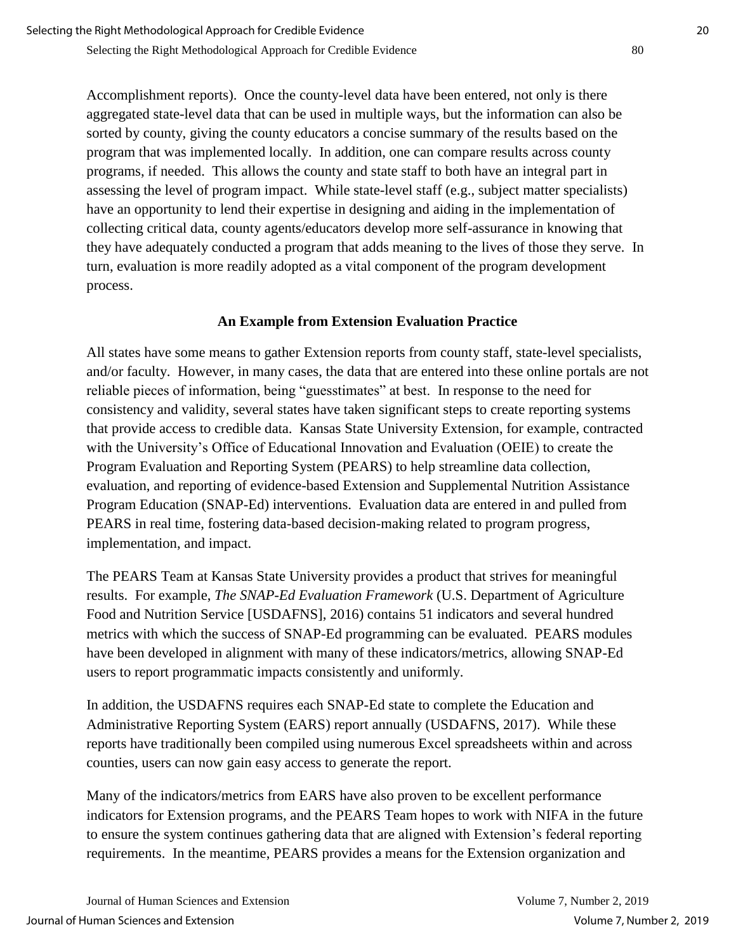Accomplishment reports). Once the county-level data have been entered, not only is there aggregated state-level data that can be used in multiple ways, but the information can also be sorted by county, giving the county educators a concise summary of the results based on the program that was implemented locally. In addition, one can compare results across county programs, if needed. This allows the county and state staff to both have an integral part in assessing the level of program impact. While state-level staff (e.g., subject matter specialists) have an opportunity to lend their expertise in designing and aiding in the implementation of collecting critical data, county agents/educators develop more self-assurance in knowing that they have adequately conducted a program that adds meaning to the lives of those they serve. In turn, evaluation is more readily adopted as a vital component of the program development process.

## **An Example from Extension Evaluation Practice**

All states have some means to gather Extension reports from county staff, state-level specialists, and/or faculty. However, in many cases, the data that are entered into these online portals are not reliable pieces of information, being "guesstimates" at best. In response to the need for consistency and validity, several states have taken significant steps to create reporting systems that provide access to credible data. Kansas State University Extension, for example, contracted with the University's Office of Educational Innovation and Evaluation (OEIE) to create the Program Evaluation and Reporting System (PEARS) to help streamline data collection, evaluation, and reporting of evidence-based Extension and Supplemental Nutrition Assistance Program Education (SNAP-Ed) interventions. Evaluation data are entered in and pulled from PEARS in real time, fostering data-based decision-making related to program progress, implementation, and impact.

The PEARS Team at Kansas State University provides a product that strives for meaningful results. For example, *The SNAP-Ed Evaluation Framework* (U.S. Department of Agriculture Food and Nutrition Service [USDAFNS], 2016) contains 51 indicators and several hundred metrics with which the success of SNAP-Ed programming can be evaluated. PEARS modules have been developed in alignment with many of these indicators/metrics, allowing SNAP-Ed users to report programmatic impacts consistently and uniformly.

In addition, the USDAFNS requires each SNAP-Ed state to complete the Education and Administrative Reporting System (EARS) report annually (USDAFNS, 2017). While these reports have traditionally been compiled using numerous Excel spreadsheets within and across counties, users can now gain easy access to generate the report.

Many of the indicators/metrics from EARS have also proven to be excellent performance indicators for Extension programs, and the PEARS Team hopes to work with NIFA in the future to ensure the system continues gathering data that are aligned with Extension's federal reporting requirements. In the meantime, PEARS provides a means for the Extension organization and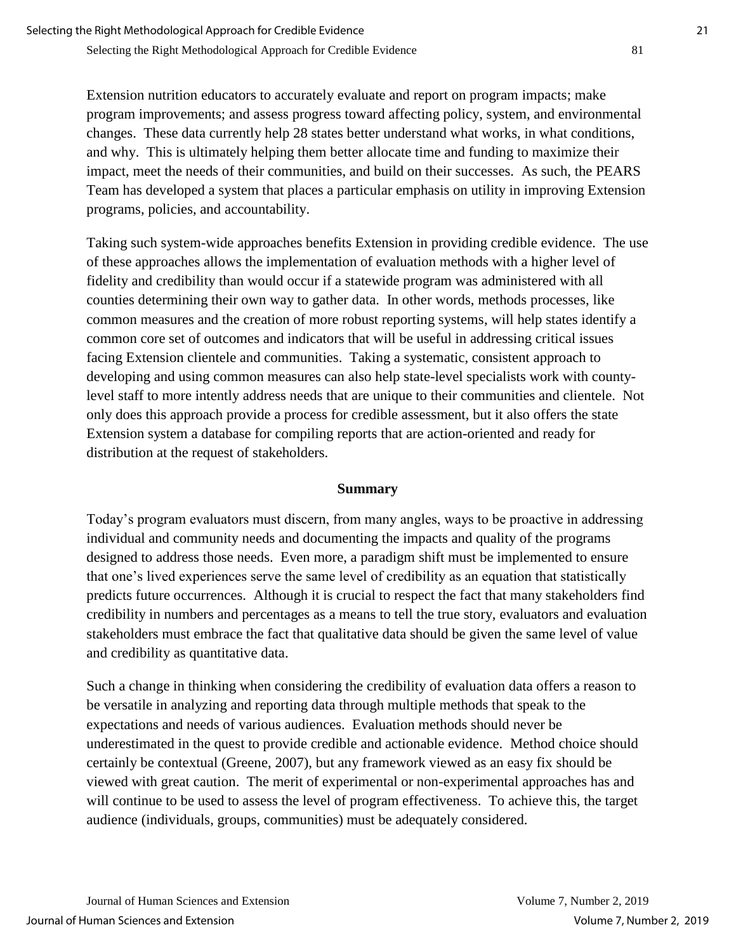Extension nutrition educators to accurately evaluate and report on program impacts; make program improvements; and assess progress toward affecting policy, system, and environmental changes. These data currently help 28 states better understand what works, in what conditions, and why. This is ultimately helping them better allocate time and funding to maximize their impact, meet the needs of their communities, and build on their successes. As such, the PEARS Team has developed a system that places a particular emphasis on utility in improving Extension programs, policies, and accountability.

Taking such system-wide approaches benefits Extension in providing credible evidence. The use of these approaches allows the implementation of evaluation methods with a higher level of fidelity and credibility than would occur if a statewide program was administered with all counties determining their own way to gather data. In other words, methods processes, like common measures and the creation of more robust reporting systems, will help states identify a common core set of outcomes and indicators that will be useful in addressing critical issues facing Extension clientele and communities. Taking a systematic, consistent approach to developing and using common measures can also help state-level specialists work with countylevel staff to more intently address needs that are unique to their communities and clientele. Not only does this approach provide a process for credible assessment, but it also offers the state Extension system a database for compiling reports that are action-oriented and ready for distribution at the request of stakeholders.

#### **Summary**

Today's program evaluators must discern, from many angles, ways to be proactive in addressing individual and community needs and documenting the impacts and quality of the programs designed to address those needs. Even more, a paradigm shift must be implemented to ensure that one's lived experiences serve the same level of credibility as an equation that statistically predicts future occurrences. Although it is crucial to respect the fact that many stakeholders find credibility in numbers and percentages as a means to tell the true story, evaluators and evaluation stakeholders must embrace the fact that qualitative data should be given the same level of value and credibility as quantitative data.

Such a change in thinking when considering the credibility of evaluation data offers a reason to be versatile in analyzing and reporting data through multiple methods that speak to the expectations and needs of various audiences. Evaluation methods should never be underestimated in the quest to provide credible and actionable evidence. Method choice should certainly be contextual (Greene, 2007), but any framework viewed as an easy fix should be viewed with great caution. The merit of experimental or non-experimental approaches has and will continue to be used to assess the level of program effectiveness. To achieve this, the target audience (individuals, groups, communities) must be adequately considered.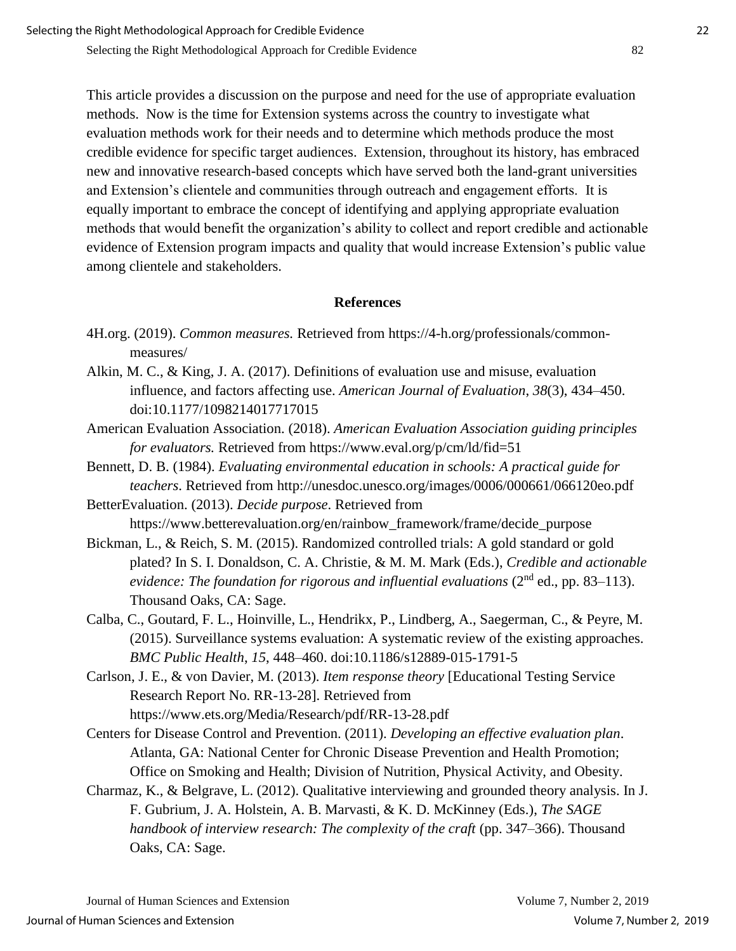This article provides a discussion on the purpose and need for the use of appropriate evaluation methods. Now is the time for Extension systems across the country to investigate what evaluation methods work for their needs and to determine which methods produce the most credible evidence for specific target audiences. Extension, throughout its history, has embraced new and innovative research-based concepts which have served both the land-grant universities and Extension's clientele and communities through outreach and engagement efforts. It is equally important to embrace the concept of identifying and applying appropriate evaluation methods that would benefit the organization's ability to collect and report credible and actionable evidence of Extension program impacts and quality that would increase Extension's public value among clientele and stakeholders.

#### **References**

- 4H.org. (2019). *Common measures.* Retrieved from https://4-h.org/professionals/commonmeasures/
- Alkin, M. C., & King, J. A. (2017). Definitions of evaluation use and misuse, evaluation influence, and factors affecting use. *American Journal of Evaluation*, *38*(3), 434–450. doi:10.1177/1098214017717015
- American Evaluation Association. (2018). *American Evaluation Association guiding principles for evaluators.* Retrieved from https://www.eval.org/p/cm/ld/fid=51
- Bennett, D. B. (1984). *Evaluating environmental education in schools: A practical guide for teachers*. Retrieved from http://unesdoc.unesco.org/images/0006/000661/066120eo.pdf
- BetterEvaluation. (2013). *Decide purpose*. Retrieved from https://www.betterevaluation.org/en/rainbow\_framework/frame/decide\_purpose
- Bickman, L., & Reich, S. M. (2015). Randomized controlled trials: A gold standard or gold plated? In S. I. Donaldson, C. A. Christie, & M. M. Mark (Eds.), *Credible and actionable evidence: The foundation for rigorous and influential evaluations (2<sup>nd</sup> ed., pp. 83–113).* Thousand Oaks, CA: Sage.
- Calba, C., Goutard, F. L., Hoinville, L., Hendrikx, P., Lindberg, A., Saegerman, C., & Peyre, M. (2015). Surveillance systems evaluation: A systematic review of the existing approaches. *BMC Public Health*, *15*, 448–460. doi:10.1186/s12889-015-1791-5
- Carlson, J. E., & von Davier, M. (2013). *Item response theory* [Educational Testing Service Research Report No. RR-13-28]. Retrieved from https://www.ets.org/Media/Research/pdf/RR-13-28.pdf
- Centers for Disease Control and Prevention. (2011). *Developing an effective evaluation plan*. Atlanta, GA: National Center for Chronic Disease Prevention and Health Promotion; Office on Smoking and Health; Division of Nutrition, Physical Activity, and Obesity.
- Charmaz, K., & Belgrave, L. (2012). Qualitative interviewing and grounded theory analysis. In J. F. Gubrium, J. A. Holstein, A. B. Marvasti, & K. D. McKinney (Eds.), *The SAGE handbook of interview research: The complexity of the craft* (pp. 347–366). Thousand Oaks, CA: Sage.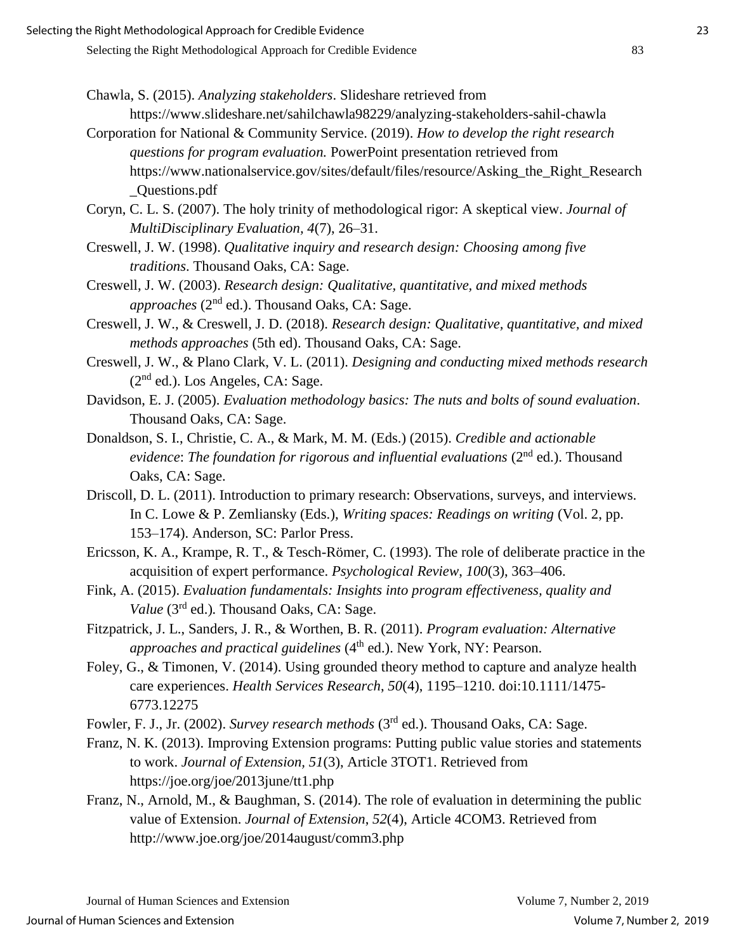- Chawla, S. (2015). *Analyzing stakeholders*. Slideshare retrieved from https://www.slideshare.net/sahilchawla98229/analyzing-stakeholders-sahil-chawla
- Corporation for National & Community Service. (2019). *How to develop the right research questions for program evaluation.* PowerPoint presentation retrieved from https://www.nationalservice.gov/sites/default/files/resource/Asking\_the\_Right\_Research \_Questions.pdf

Coryn, C. L. S. (2007). The holy trinity of methodological rigor: A skeptical view. *Journal of MultiDisciplinary Evaluation, 4*(7), 26–31.

- Creswell, J. W. (1998). *Qualitative inquiry and research design: Choosing among five traditions*. Thousand Oaks, CA: Sage.
- Creswell, J. W. (2003). *Research design: Qualitative, quantitative, and mixed methods approaches* (2nd ed.). Thousand Oaks, CA: Sage.
- Creswell, J. W., & Creswell, J. D. (2018). *Research design: Qualitative, quantitative, and mixed methods approaches* (5th ed). Thousand Oaks, CA: Sage.
- Creswell, J. W., & Plano Clark, V. L. (2011). *Designing and conducting mixed methods research* (2nd ed.). Los Angeles, CA: Sage.
- Davidson, E. J. (2005). *Evaluation methodology basics: The nuts and bolts of sound evaluation*. Thousand Oaks, CA: Sage.
- Donaldson, S. I., Christie, C. A., & Mark, M. M. (Eds.) (2015). *Credible and actionable evidence: The foundation for rigorous and influential evaluations* (2<sup>nd</sup> ed.). Thousand Oaks, CA: Sage.
- Driscoll, D. L. (2011). Introduction to primary research: Observations, surveys, and interviews. In C. Lowe & P. Zemliansky (Eds.), *Writing spaces: Readings on writing* (Vol. 2, pp. 153–174). Anderson, SC: Parlor Press.
- Ericsson, K. A., Krampe, R. T., & Tesch-Römer, C. (1993). The role of deliberate practice in the acquisition of expert performance. *Psychological Review*, *100*(3), 363–406.
- Fink, A. (2015). *Evaluation fundamentals: Insights into program effectiveness, quality and Value* (3rd ed.)*.* Thousand Oaks, CA: Sage.
- Fitzpatrick, J. L., Sanders, J. R., & Worthen, B. R. (2011). *Program evaluation: Alternative approaches and practical guidelines* (4<sup>th</sup> ed.). New York, NY: Pearson.
- Foley, G., & Timonen, V. (2014). Using grounded theory method to capture and analyze health care experiences. *Health Services Research*, *50*(4), 1195–1210. doi:10.1111/1475- 6773.12275
- Fowler, F. J., Jr. (2002). *Survey research methods* (3rd ed.). Thousand Oaks, CA: Sage.
- Franz, N. K. (2013). Improving Extension programs: Putting public value stories and statements to work. *Journal of Extension, 51*(3), Article 3TOT1. Retrieved from https://joe.org/joe/2013june/tt1.php
- Franz, N., Arnold, M., & Baughman, S. (2014). The role of evaluation in determining the public value of Extension. *Journal of Extension*, *52*(4), Article 4COM3. Retrieved from http://www.joe.org/joe/2014august/comm3.php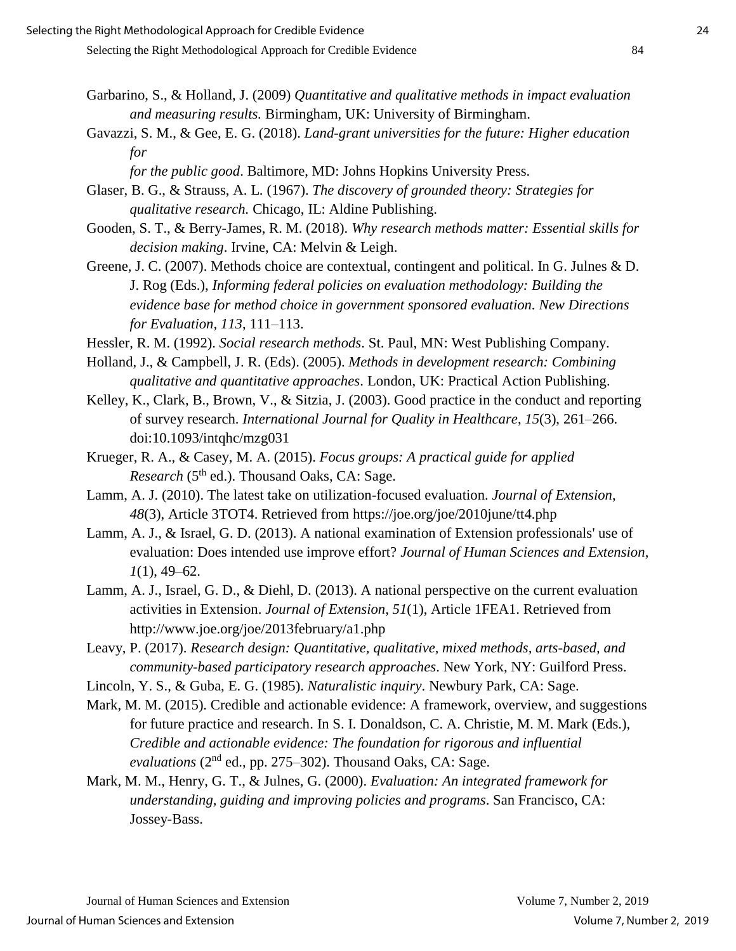- Garbarino, S., & Holland, J. (2009) *Quantitative and qualitative methods in impact evaluation and measuring results.* Birmingham, UK: University of Birmingham.
- Gavazzi, S. M., & Gee, E. G. (2018). *Land-grant universities for the future: Higher education for* 
	- *for the public good*. Baltimore, MD: Johns Hopkins University Press.
- Glaser, B. G., & Strauss, A. L. (1967). *The discovery of grounded theory: Strategies for qualitative research.* Chicago, IL: Aldine Publishing.
- Gooden, S. T., & Berry-James, R. M. (2018). *Why research methods matter: Essential skills for decision making*. Irvine, CA: Melvin & Leigh.
- Greene, J. C. (2007). Methods choice are contextual, contingent and political. In G. Julnes & D. J. Rog (Eds.), *Informing federal policies on evaluation methodology: Building the evidence base for method choice in government sponsored evaluation. New Directions for Evaluation, 113*, 111–113.
- Hessler, R. M. (1992). *Social research methods*. St. Paul, MN: West Publishing Company.
- Holland, J., & Campbell, J. R. (Eds). (2005). *Methods in development research: Combining qualitative and quantitative approaches*. London, UK: Practical Action Publishing.
- Kelley, K., Clark, B., Brown, V., & Sitzia, J. (2003). Good practice in the conduct and reporting of survey research. *International Journal for Quality in Healthcare*, *15*(3), 261–266. doi:10.1093/intqhc/mzg031
- Krueger, R. A., & Casey, M. A. (2015). *Focus groups: A practical guide for applied Research* (5<sup>th</sup> ed.). Thousand Oaks, CA: Sage.
- Lamm, A. J. (2010). The latest take on utilization-focused evaluation. *Journal of Extension*, *48*(3), Article 3TOT4. Retrieved from https://joe.org/joe/2010june/tt4.php
- Lamm, A. J., & Israel, G. D. (2013). A national examination of Extension professionals' use of evaluation: Does intended use improve effort? *Journal of Human Sciences and Extension*, *1*(1), 49–62.
- Lamm, A. J., Israel, G. D., & Diehl, D. (2013). A national perspective on the current evaluation activities in Extension. *Journal of Extension*, *51*(1), Article 1FEA1. Retrieved from http://www.joe.org/joe/2013february/a1.php
- Leavy, P. (2017). *Research design: Quantitative, qualitative, mixed methods, arts-based, and community-based participatory research approaches*. New York, NY: Guilford Press.
- Lincoln, Y. S., & Guba, E. G. (1985). *Naturalistic inquiry*. Newbury Park, CA: Sage.
- Mark, M. M. (2015). Credible and actionable evidence: A framework, overview, and suggestions for future practice and research. In S. I. Donaldson, C. A. Christie, M. M. Mark (Eds.), *Credible and actionable evidence: The foundation for rigorous and influential*  evaluations (2<sup>nd</sup> ed., pp. 275–302). Thousand Oaks, CA: Sage.
- Mark, M. M., Henry, G. T., & Julnes, G. (2000). *Evaluation: An integrated framework for understanding, guiding and improving policies and programs*. San Francisco, CA: Jossey-Bass.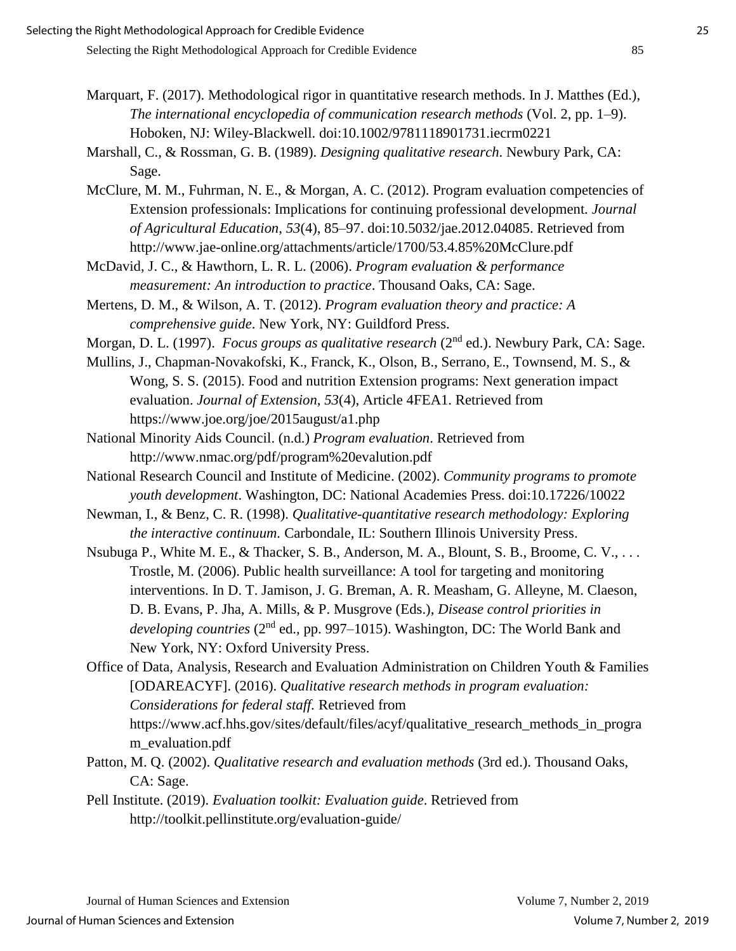- Marquart, F. (2017). Methodological rigor in quantitative research methods. In J. Matthes (Ed.), *The international encyclopedia of communication research methods* (Vol. 2, pp. 1–9). Hoboken, NJ: Wiley-Blackwell. doi:10.1002/9781118901731.iecrm0221
- Marshall, C., & Rossman, G. B. (1989). *Designing qualitative research*. Newbury Park, CA: Sage.
- McClure, M. M., Fuhrman, N. E., & Morgan, A. C. (2012). Program evaluation competencies of Extension professionals: Implications for continuing professional development*. Journal of Agricultural Education*, *53*(4), 85–97. doi:10.5032/jae.2012.04085. Retrieved from http://www.jae-online.org/attachments/article/1700/53.4.85%20McClure.pdf
- McDavid, J. C., & Hawthorn, L. R. L. (2006). *Program evaluation & performance measurement: An introduction to practice*. Thousand Oaks, CA: Sage.
- Mertens, D. M., & Wilson, A. T. (2012). *Program evaluation theory and practice: A comprehensive guide*. New York, NY: Guildford Press.
- Morgan, D. L. (1997). *Focus groups as qualitative research* (2nd ed.). Newbury Park, CA: Sage.
- Mullins, J., Chapman-Novakofski, K., Franck, K., Olson, B., Serrano, E., Townsend, M. S., & Wong, S. S. (2015). Food and nutrition Extension programs: Next generation impact evaluation. *Journal of Extension, 53*(4), Article 4FEA1. Retrieved from https://www.joe.org/joe/2015august/a1.php
- National Minority Aids Council. (n.d.) *Program evaluation*. Retrieved from http://www.nmac.org/pdf/program%20evalution.pdf
- National Research Council and Institute of Medicine. (2002). *Community programs to promote youth development*. Washington, DC: National Academies Press. doi:10.17226/10022
- Newman, I., & Benz, C. R. (1998). *Qualitative-quantitative research methodology: Exploring the interactive continuum.* Carbondale, IL: Southern Illinois University Press.
- Nsubuga P., White M. E., & Thacker, S. B., Anderson, M. A., Blount, S. B., Broome, C. V., . . . Trostle, M. (2006). Public health surveillance: A tool for targeting and monitoring interventions. In D. T. Jamison, J. G. Breman, A. R. Measham, G. Alleyne, M. Claeson, D. B. Evans, P. Jha, A. Mills, & P. Musgrove (Eds.), *Disease control priorities in developing countries* (2nd ed., pp. 997–1015). Washington, DC: The World Bank and New York, NY: Oxford University Press.
- Office of Data, Analysis, Research and Evaluation Administration on Children Youth & Families [ODAREACYF]. (2016). *Qualitative research methods in program evaluation: Considerations for federal staff.* Retrieved from https://www.acf.hhs.gov/sites/default/files/acyf/qualitative\_research\_methods\_in\_progra m\_evaluation.pdf
- Patton, M. Q. (2002). *Qualitative research and evaluation methods* (3rd ed.). Thousand Oaks, CA: Sage.
- Pell Institute. (2019). *Evaluation toolkit: Evaluation guide*. Retrieved from http://toolkit.pellinstitute.org/evaluation-guide/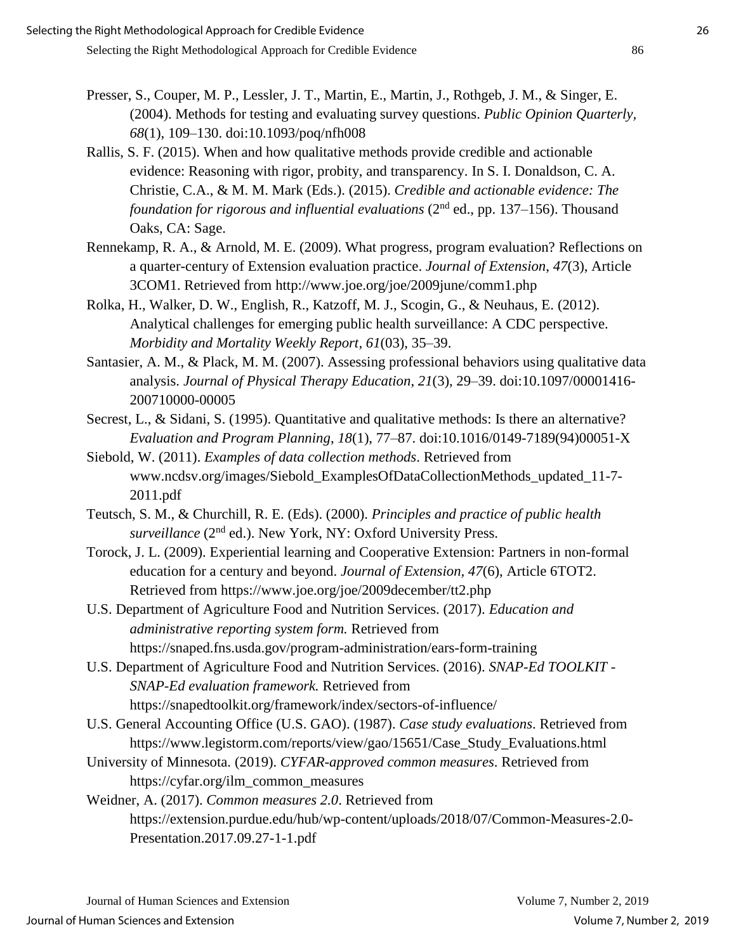- Presser, S., Couper, M. P., Lessler, J. T., Martin, E., Martin, J., Rothgeb, J. M., & Singer, E. (2004). Methods for testing and evaluating survey questions. *Public Opinion Quarterly, 68*(1), 109–130. doi:10.1093/poq/nfh008
- Rallis, S. F. (2015). When and how qualitative methods provide credible and actionable evidence: Reasoning with rigor, probity, and transparency. In S. I. Donaldson, C. A. Christie, C.A., & M. M. Mark (Eds.). (2015). *Credible and actionable evidence: The foundation for rigorous and influential evaluations* (2<sup>nd</sup> ed., pp. 137–156). Thousand Oaks, CA: Sage.
- Rennekamp, R. A., & Arnold, M. E. (2009). What progress, program evaluation? Reflections on a quarter-century of Extension evaluation practice. *Journal of Extension*, *47*(3), Article 3COM1. Retrieved from http://www.joe.org/joe/2009june/comm1.php
- Rolka, H., Walker, D. W., English, R., Katzoff, M. J., Scogin, G., & Neuhaus, E. (2012). Analytical challenges for emerging public health surveillance: A CDC perspective*. Morbidity and Mortality Weekly Report, 61*(03), 35–39.
- Santasier, A. M., & Plack, M. M. (2007). Assessing professional behaviors using qualitative data analysis. *Journal of Physical Therapy Education*, *21*(3), 29–39. doi:10.1097/00001416- 200710000-00005
- Secrest, L., & Sidani, S. (1995). Quantitative and qualitative methods: Is there an alternative? *Evaluation and Program Planning*, *18*(1), 77–87. doi:10.1016/0149-7189(94)00051-X
- Siebold, W. (2011). *Examples of data collection methods*. Retrieved from www.ncdsv.org/images/Siebold\_ExamplesOfDataCollectionMethods\_updated\_11-7- 2011.pdf
- Teutsch, S. M., & Churchill, R. E. (Eds). (2000). *Principles and practice of public health*  surveillance (2<sup>nd</sup> ed.). New York, NY: Oxford University Press.
- Torock, J. L. (2009). Experiential learning and Cooperative Extension: Partners in non-formal education for a century and beyond. *Journal of Extension, 47*(6), Article 6TOT2. Retrieved from https://www.joe.org/joe/2009december/tt2.php
- U.S. Department of Agriculture Food and Nutrition Services. (2017). *Education and administrative reporting system form.* Retrieved from https://snaped.fns.usda.gov/program-administration/ears-form-training
- U.S. Department of Agriculture Food and Nutrition Services. (2016). *SNAP-Ed TOOLKIT - SNAP-Ed evaluation framework.* Retrieved from https://snapedtoolkit.org/framework/index/sectors-of-influence/
- U.S. General Accounting Office (U.S. GAO). (1987). *Case study evaluations*. Retrieved from https://www.legistorm.com/reports/view/gao/15651/Case\_Study\_Evaluations.html
- University of Minnesota. (2019). *CYFAR-approved common measures*. Retrieved from https://cyfar.org/ilm\_common\_measures
- Weidner, A. (2017). *Common measures 2.0*. Retrieved from https://extension.purdue.edu/hub/wp-content/uploads/2018/07/Common-Measures-2.0- Presentation.2017.09.27-1-1.pdf